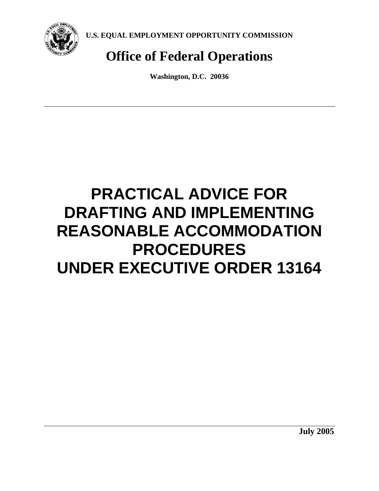

**U.S. EQUAL EMPLOYMENT OPPORTUNITY COMMISSION** 

# **Office of Federal Operations**

**Washington, D.C. 20036** 

# **PRACTICAL ADVICE FOR DRAFTING AND IMPLEMENTING REASONABLE ACCOMMODATION PROCEDURES UNDER EXECUTIVE ORDER 13164**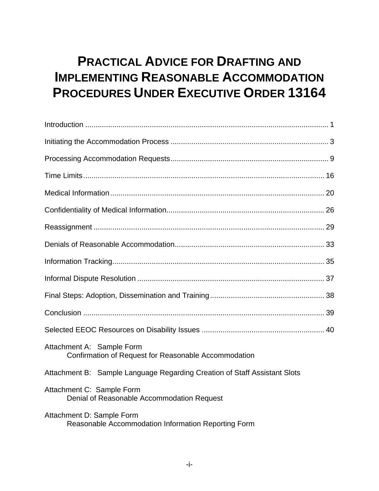## **PRACTICAL ADVICE FOR DRAFTING AND IMPLEMENTING REASONABLE ACCOMMODATION PROCEDURES UNDER EXECUTIVE ORDER 13164**

| Attachment A: Sample Form<br>Confirmation of Request for Reasonable Accommodation |
|-----------------------------------------------------------------------------------|
| Attachment B: Sample Language Regarding Creation of Staff Assistant Slots         |
| Attachment C: Sample Form<br>Denial of Reasonable Accommodation Request           |
| Attachment D: Sample Form<br>Reasonable Accommodation Information Reporting Form  |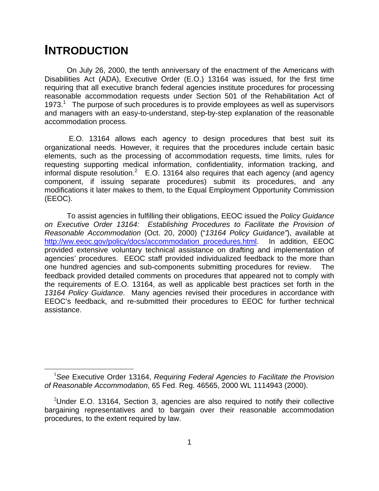## **INTRODUCTION**

1

On July 26, 2000, the tenth anniversary of the enactment of the Americans with Disabilities Act (ADA), Executive Order (E.O.) 13164 was issued, for the first time requiring that all executive branch federal agencies institute procedures for processing reasonable accommodation requests under Section 501 of the Rehabilitation Act of 1973. $<sup>1</sup>$  The purpose of such procedures is to provide employees as well as supervisors</sup> and managers with an easy-to-understand, step-by-step explanation of the reasonable accommodation process.

 E.O. 13164 allows each agency to design procedures that best suit its organizational needs. However, it requires that the procedures include certain basic elements, such as the processing of accommodation requests, time limits, rules for requesting supporting medical information, confidentiality, information tracking, and informal dispute resolution.<sup>2</sup> E.O. 13164 also requires that each agency (and agency component, if issuing separate procedures) submit its procedures, and any modifications it later makes to them, to the Equal Employment Opportunity Commission (EEOC).

To assist agencies in fulfilling their obligations, EEOC issued the *Policy Guidance on Executive Order 13164: Establishing Procedures to Facilitate the Provision of Reasonable Accommodation* (Oct. 20, 2000) ("*13164 Policy Guidance"*), available at http://ww.eeoc.gov/policy/docs/accommodation\_procedures.html. In addition, EEOC provided extensive voluntary technical assistance on drafting and implementation of agencies' procedures. EEOC staff provided individualized feedback to the more than one hundred agencies and sub-components submitting procedures for review. The feedback provided detailed comments on procedures that appeared not to comply with the requirements of E.O. 13164, as well as applicable best practices set forth in the *13164 Policy Guidance*. Many agencies revised their procedures in accordance with EEOC's feedback, and re-submitted their procedures to EEOC for further technical assistance.

<sup>&</sup>lt;sup>1</sup> See Executive Order 13164, *Requiring Federal Agencies to Facilitate the Provision of Reasonable Accommodation*, 65 Fed. Reg. 46565, 2000 WL 1114943 (2000).

<sup>&</sup>lt;sup>2</sup>Under E.O. 13164, Section 3, agencies are also required to notify their collective bargaining representatives and to bargain over their reasonable accommodation procedures, to the extent required by law.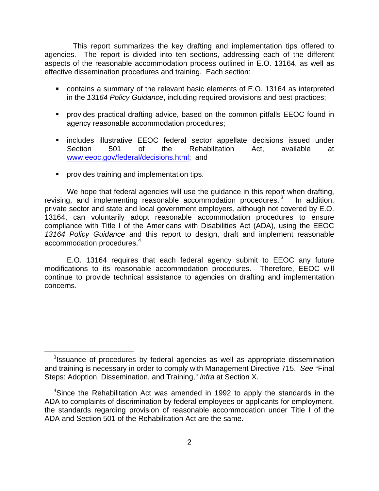This report summarizes the key drafting and implementation tips offered to agencies. The report is divided into ten sections, addressing each of the different aspects of the reasonable accommodation process outlined in E.O. 13164, as well as effective dissemination procedures and training. Each section:

- contains a summary of the relevant basic elements of E.O. 13164 as interpreted in the *13164 Policy Guidance*, including required provisions and best practices;
- provides practical drafting advice, based on the common pitfalls EEOC found in agency reasonable accommodation procedures;
- **EX includes illustrative EEOC federal sector appellate decisions issued under** Section 501 of the Rehabilitation Act, available at www.eeoc.gov/federal/decisions.html; and
- **Perovides training and implementation tips.**

 $\overline{a}$ 

We hope that federal agencies will use the guidance in this report when drafting, revising, and implementing reasonable accommodation procedures.<sup>3</sup> In addition, private sector and state and local government employers, although not covered by E.O. 13164, can voluntarily adopt reasonable accommodation procedures to ensure compliance with Title I of the Americans with Disabilities Act (ADA), using the EEOC *13164 Policy Guidance* and this report to design, draft and implement reasonable accommodation procedures.<sup>4</sup>

E.O. 13164 requires that each federal agency submit to EEOC any future modifications to its reasonable accommodation procedures. Therefore, EEOC will continue to provide technical assistance to agencies on drafting and implementation concerns.

 $3$ Issuance of procedures by federal agencies as well as appropriate dissemination and training is necessary in order to comply with Management Directive 715. See "Final Steps: Adoption, Dissemination, and Training," *infra* at Section X.

<sup>&</sup>lt;sup>4</sup>Since the Rehabilitation Act was amended in 1992 to apply the standards in the ADA to complaints of discrimination by federal employees or applicants for employment, the standards regarding provision of reasonable accommodation under Title I of the ADA and Section 501 of the Rehabilitation Act are the same.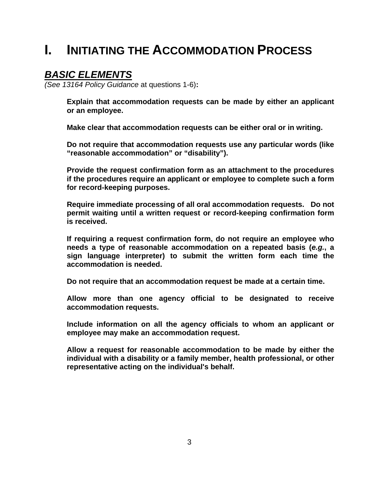## **I. INITIATING THE ACCOMMODATION PROCESS**

### *BASIC ELEMENTS*

*(See 13164 Policy Guidance* at questions 1-6)**:** 

 **Explain that accommodation requests can be made by either an applicant or an employee.** 

 **Make clear that accommodation requests can be either oral or in writing.** 

 **Do not require that accommodation requests use any particular words (like "reasonable accommodation" or "disability").** 

 **Provide the request confirmation form as an attachment to the procedures if the procedures require an applicant or employee to complete such a form for record-keeping purposes.** 

 **Require immediate processing of all oral accommodation requests. Do not permit waiting until a written request or record-keeping confirmation form is received.** 

 **If requiring a request confirmation form, do not require an employee who needs a type of reasonable accommodation on a repeated basis (***e.g.***, a sign language interpreter) to submit the written form each time the accommodation is needed.** 

 **Do not require that an accommodation request be made at a certain time.** 

 **Allow more than one agency official to be designated to receive accommodation requests.** 

 **Include information on all the agency officials to whom an applicant or employee may make an accommodation request.** 

 **Allow a request for reasonable accommodation to be made by either the individual with a disability or a family member, health professional, or other representative acting on the individual's behalf.**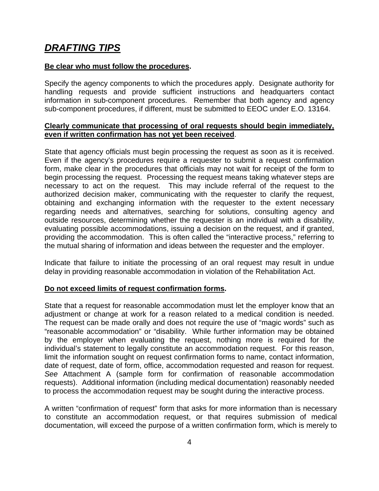## *DRAFTING TIPS*

#### **Be clear who must follow the procedures.**

Specify the agency components to which the procedures apply. Designate authority for handling requests and provide sufficient instructions and headquarters contact information in sub-component procedures. Remember that both agency and agency sub-component procedures, if different, must be submitted to EEOC under E.O. 13164.

#### **Clearly communicate that processing of oral requests should begin immediately, even if written confirmation has not yet been received**.

State that agency officials must begin processing the request as soon as it is received. Even if the agency's procedures require a requester to submit a request confirmation form, make clear in the procedures that officials may not wait for receipt of the form to begin processing the request.Processing the request means taking whatever steps are necessary to act on the request. This may include referral of the request to the authorized decision maker, communicating with the requester to clarify the request, obtaining and exchanging information with the requester to the extent necessary regarding needs and alternatives, searching for solutions, consulting agency and outside resources, determining whether the requester is an individual with a disability, evaluating possible accommodations, issuing a decision on the request, and if granted, providing the accommodation. This is often called the "interactive process," referring to the mutual sharing of information and ideas between the requester and the employer.

Indicate that failure to initiate the processing of an oral request may result in undue delay in providing reasonable accommodation in violation of the Rehabilitation Act.

#### **Do not exceed limits of request confirmation forms.**

State that a request for reasonable accommodation must let the employer know that an adjustment or change at work for a reason related to a medical condition is needed. The request can be made orally and does not require the use of "magic words" such as "reasonable accommodation" or "disability. While further information may be obtained by the employer when evaluating the request, nothing more is required for the individual's statement to legally constitute an accommodation request. For this reason, limit the information sought on request confirmation forms to name, contact information, date of request, date of form, office, accommodation requested and reason for request. *See* Attachment A (sample form for confirmation of reasonable accommodation requests). Additional information (including medical documentation) reasonably needed to process the accommodation request may be sought during the interactive process.

A written "confirmation of request" form that asks for more information than is necessary to constitute an accommodation request, or that requires submission of medical documentation, will exceed the purpose of a written confirmation form, which is merely to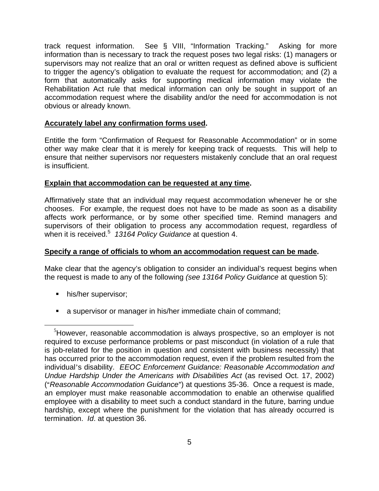track request information. See § VIII, "Information Tracking." Asking for more information than is necessary to track the request poses two legal risks: (1) managers or supervisors may not realize that an oral or written request as defined above is sufficient to trigger the agency's obligation to evaluate the request for accommodation; and (2) a form that automatically asks for supporting medical information may violate the Rehabilitation Act rule that medical information can only be sought in support of an accommodation request where the disability and/or the need for accommodation is not obvious or already known.

#### **Accurately label any confirmation forms used.**

Entitle the form "Confirmation of Request for Reasonable Accommodation" or in some other way make clear that it is merely for keeping track of requests. This will help to ensure that neither supervisors nor requesters mistakenly conclude that an oral request is insufficient.

#### **Explain that accommodation can be requested at any time.**

Affirmatively state that an individual may request accommodation whenever he or she chooses. For example, the request does not have to be made as soon as a disability affects work performance, or by some other specified time. Remind managers and supervisors of their obligation to process any accommodation request, regardless of when it is received.<sup>5</sup> *13164 Policy Guidance* at question 4.

#### **Specify a range of officials to whom an accommodation request can be made.**

Make clear that the agency's obligation to consider an individual's request begins when the request is made to any of the following *(see 13164 Policy Guidance* at question 5):

**his/her supervisor;** 

1

a supervisor or manager in his/her immediate chain of command;

<sup>&</sup>lt;sup>5</sup>However, reasonable accommodation is always prospective, so an employer is not required to excuse performance problems or past misconduct (in violation of a rule that is job-related for the position in question and consistent with business necessity) that has occurred prior to the accommodation request, even if the problem resulted from the individual's disability. *EEOC Enforcement Guidance: Reasonable Accommodation and Undue Hardship Under the Americans with Disabilities Act* (as revised Oct. 17, 2002) ("Reasonable Accommodation Guidance") at questions 35-36. Once a request is made, an employer must make reasonable accommodation to enable an otherwise qualified employee with a disability to meet such a conduct standard in the future, barring undue hardship, except where the punishment for the violation that has already occurred is termination. *Id*. at question 36.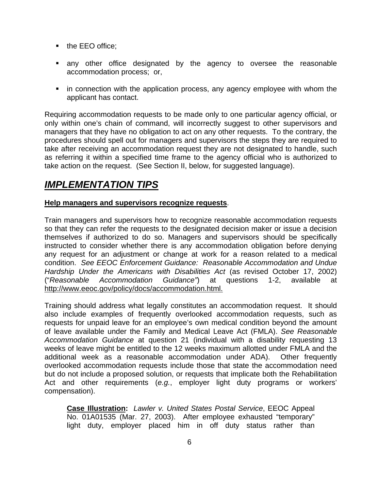- the EEO office;
- any other office designated by the agency to oversee the reasonable accommodation process; or,
- in connection with the application process, any agency employee with whom the applicant has contact.

Requiring accommodation requests to be made only to one particular agency official, or only within one's chain of command, will incorrectly suggest to other supervisors and managers that they have no obligation to act on any other requests. To the contrary, the procedures should spell out for managers and supervisors the steps they are required to take after receiving an accommodation request they are not designated to handle, such as referring it within a specified time frame to the agency official who is authorized to take action on the request. (See Section II, below, for suggested language).

## *IMPLEMENTATION TIPS*

#### **Help managers and supervisors recognize requests**.

Train managers and supervisors how to recognize reasonable accommodation requests so that they can refer the requests to the designated decision maker or issue a decision themselves if authorized to do so. Managers and supervisors should be specifically instructed to consider whether there is any accommodation obligation before denying any request for an adjustment or change at work for a reason related to a medical condition. *See EEOC Enforcement Guidance: Reasonable Accommodation and Undue Hardship Under the Americans with Disabilities Act* (as revised October 17, 2002) ("*Reasonable Accommodation Guidance"*) at questions 1-2, available at http://www.eeoc.gov/policy/docs/accommodation.html.

Training should address what legally constitutes an accommodation request. It should also include examples of frequently overlooked accommodation requests, such as requests for unpaid leave for an employee's own medical condition beyond the amount of leave available under the Family and Medical Leave Act (FMLA). *See Reasonable Accommodation Guidance* at question 21 (individual with a disability requesting 13 weeks of leave might be entitled to the 12 weeks maximum allotted under FMLA and the additional week as a reasonable accommodation under ADA). Other frequently overlooked accommodation requests include those that state the accommodation need but do not include a proposed solution, or requests that implicate both the Rehabilitation Act and other requirements (*e.g.*, employer light duty programs or workers' compensation).

**Case Illustration:** *Lawler v. United States Postal Service*, EEOC Appeal No. 01A01535 (Mar. 27, 2003). After employee exhausted "temporary" light duty, employer placed him in off duty status rather than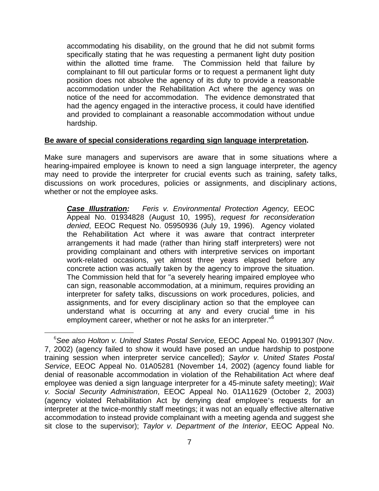accommodating his disability, on the ground that he did not submit forms specifically stating that he was requesting a permanent light duty position within the allotted time frame. The Commission held that failure by complainant to fill out particular forms or to request a permanent light duty position does not absolve the agency of its duty to provide a reasonable accommodation under the Rehabilitation Act where the agency was on notice of the need for accommodation. The evidence demonstrated that had the agency engaged in the interactive process, it could have identified and provided to complainant a reasonable accommodation without undue hardship.

#### **Be aware of special considerations regarding sign language interpretation.**

Make sure managers and supervisors are aware that in some situations where a hearing-impaired employee is known to need a sign language interpreter, the agency may need to provide the interpreter for crucial events such as training, safety talks, discussions on work procedures, policies or assignments, and disciplinary actions, whether or not the employee asks.

*Case Illustration: Feris v. Environmental Protection Agency,* EEOC Appeal No. 01934828 (August 10, 1995), *request for reconsideration denied*, EEOC Request No. 05950936 (July 19, 1996). Agency violated the Rehabilitation Act where it was aware that contract interpreter arrangements it had made (rather than hiring staff interpreters) were not providing complainant and others with interpretive services on important work-related occasions, yet almost three years elapsed before any concrete action was actually taken by the agency to improve the situation. The Commission held that for "a severely hearing impaired employee who can sign, reasonable accommodation, at a minimum, requires providing an interpreter for safety talks, discussions on work procedures, policies, and assignments, and for every disciplinary action so that the employee can understand what is occurring at any and every crucial time in his employment career, whether or not he asks for an interpreter."<sup>6</sup>

1

<sup>&</sup>lt;sup>6</sup> See also Holton v. United States Postal Service, EEOC Appeal No. 01991307 (Nov. 7, 2002) (agency failed to show it would have posed an undue hardship to postpone training session when interpreter service cancelled); *Saylor v. United States Postal Service*, EEOC Appeal No. 01A05281 (November 14, 2002) (agency found liable for denial of reasonable accommodation in violation of the Rehabilitation Act where deaf employee was denied a sign language interpreter for a 45-minute safety meeting); *Wait v. Social Security Administration*, EEOC Appeal No. 01A11629 (October 2, 2003) (agency violated Rehabilitation Act by denying deaf employee's requests for an interpreter at the twice-monthly staff meetings; it was not an equally effective alternative accommodation to instead provide complainant with a meeting agenda and suggest she sit close to the supervisor); *Taylor v. Department of the Interior*, EEOC Appeal No.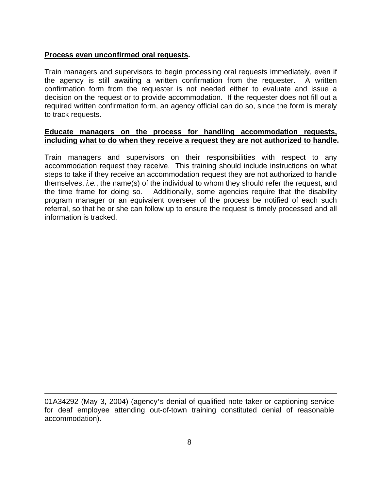#### **Process even unconfirmed oral requests.**

 $\overline{a}$ 

Train managers and supervisors to begin processing oral requests immediately, even if the agency is still awaiting a written confirmation from the requester. A written confirmation form from the requester is not needed either to evaluate and issue a decision on the request or to provide accommodation. If the requester does not fill out a required written confirmation form, an agency official can do so, since the form is merely to track requests.

#### **Educate managers on the process for handling accommodation requests, including what to do when they receive a request they are not authorized to handle.**

Train managers and supervisors on their responsibilities with respect to any accommodation request they receive. This training should include instructions on what steps to take if they receive an accommodation request they are not authorized to handle themselves, *i.e.*, the name(s) of the individual to whom they should refer the request, and the time frame for doing so. Additionally, some agencies require that the disability program manager or an equivalent overseer of the process be notified of each such referral, so that he or she can follow up to ensure the request is timely processed and all information is tracked.

<sup>01</sup>A34292 (May 3, 2004) (agency's denial of qualified note taker or captioning service for deaf employee attending out-of-town training constituted denial of reasonable accommodation).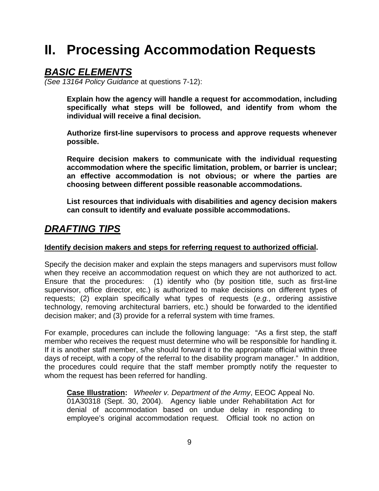## **II. Processing Accommodation Requests**

### *BASIC ELEMENTS*

*(See 13164 Policy Guidance* at questions 7-12):

 **Explain how the agency will handle a request for accommodation, including specifically what steps will be followed, and identify from whom the individual will receive a final decision.** 

 **Authorize first-line supervisors to process and approve requests whenever possible.** 

 **Require decision makers to communicate with the individual requesting accommodation where the specific limitation, problem, or barrier is unclear; an effective accommodation is not obvious; or where the parties are choosing between different possible reasonable accommodations.** 

 **List resources that individuals with disabilities and agency decision makers can consult to identify and evaluate possible accommodations.** 

## *DRAFTING TIPS*

#### **Identify decision makers and steps for referring request to authorized official.**

Specify the decision maker and explain the steps managers and supervisors must follow when they receive an accommodation request on which they are not authorized to act. Ensure that the procedures: (1) identify who (by position title, such as first-line supervisor, office director, etc.) is authorized to make decisions on different types of requests; (2) explain specifically what types of requests (*e.g.*, ordering assistive technology, removing architectural barriers, etc.) should be forwarded to the identified decision maker; and (3) provide for a referral system with time frames.

For example, procedures can include the following language: "As a first step, the staff member who receives the request must determine who will be responsible for handling it. If it is another staff member, s/he should forward it to the appropriate official within three days of receipt, with a copy of the referral to the disability program manager." In addition, the procedures could require that the staff member promptly notify the requester to whom the request has been referred for handling.

**Case Illustration:** *Wheeler v. Department of the Army*, EEOC Appeal No. 01A30318 (Sept. 30, 2004). Agency liable under Rehabilitation Act for denial of accommodation based on undue delay in responding to employee's original accommodation request. Official took no action on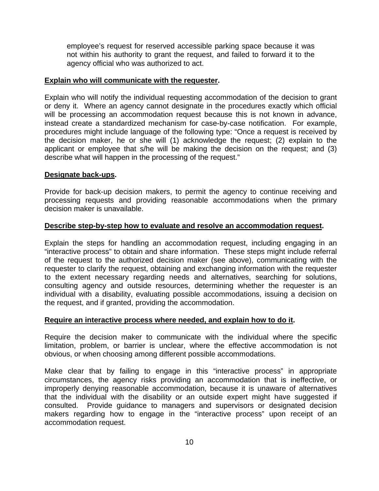employee's request for reserved accessible parking space because it was not within his authority to grant the request, and failed to forward it to the agency official who was authorized to act.

#### **Explain who will communicate with the requester.**

Explain who will notify the individual requesting accommodation of the decision to grant or deny it. Where an agency cannot designate in the procedures exactly which official will be processing an accommodation request because this is not known in advance, instead create a standardized mechanism for case-by-case notification. For example, procedures might include language of the following type: "Once a request is received by the decision maker, he or she will (1) acknowledge the request; (2) explain to the applicant or employee that s/he will be making the decision on the request; and (3) describe what will happen in the processing of the request."

#### **Designate back-ups.**

Provide for back-up decision makers, to permit the agency to continue receiving and processing requests and providing reasonable accommodations when the primary decision maker is unavailable.

#### **Describe step-by-step how to evaluate and resolve an accommodation request.**

Explain the steps for handling an accommodation request, including engaging in an "interactive process" to obtain and share information. These steps might include referral of the request to the authorized decision maker (see above), communicating with the requester to clarify the request, obtaining and exchanging information with the requester to the extent necessary regarding needs and alternatives, searching for solutions, consulting agency and outside resources, determining whether the requester is an individual with a disability, evaluating possible accommodations, issuing a decision on the request, and if granted, providing the accommodation.

#### **Require an interactive process where needed, and explain how to do it.**

Require the decision maker to communicate with the individual where the specific limitation, problem, or barrier is unclear, where the effective accommodation is not obvious, or when choosing among different possible accommodations.

Make clear that by failing to engage in this "interactive process" in appropriate circumstances, the agency risks providing an accommodation that is ineffective, or improperly denying reasonable accommodation, because it is unaware of alternatives that the individual with the disability or an outside expert might have suggested if consulted. Provide guidance to managers and supervisors or designated decision makers regarding how to engage in the "interactive process" upon receipt of an accommodation request.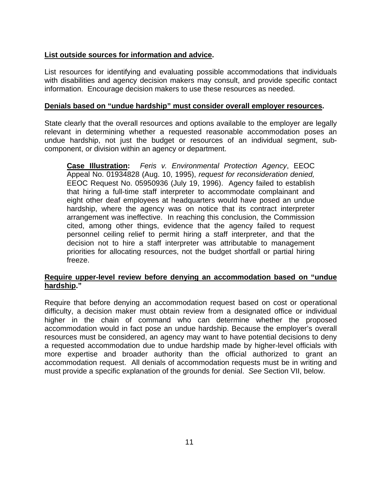#### **List outside sources for information and advice.**

List resources for identifying and evaluating possible accommodations that individuals with disabilities and agency decision makers may consult, and provide specific contact information. Encourage decision makers to use these resources as needed.

#### **Denials based on "undue hardship" must consider overall employer resources.**

State clearly that the overall resources and options available to the employer are legally relevant in determining whether a requested reasonable accommodation poses an undue hardship, not just the budget or resources of an individual segment, subcomponent, or division within an agency or department.

**Case Illustration:** *Feris v. Environmental Protection Agency*, EEOC Appeal No. 01934828 (Aug. 10, 1995), *request for reconsideration denied,* EEOC Request No. 05950936 (July 19, 1996). Agency failed to establish that hiring a full-time staff interpreter to accommodate complainant and eight other deaf employees at headquarters would have posed an undue hardship, where the agency was on notice that its contract interpreter arrangement was ineffective. In reaching this conclusion, the Commission cited, among other things, evidence that the agency failed to request personnel ceiling relief to permit hiring a staff interpreter, and that the decision not to hire a staff interpreter was attributable to management priorities for allocating resources, not the budget shortfall or partial hiring freeze.

#### **Require upper-level review before denying an accommodation based on "undue hardship."**

Require that before denying an accommodation request based on cost or operational difficulty, a decision maker must obtain review from a designated office or individual higher in the chain of command who can determine whether the proposed accommodation would in fact pose an undue hardship. Because the employer's overall resources must be considered, an agency may want to have potential decisions to deny a requested accommodation due to undue hardship made by higher-level officials with more expertise and broader authority than the official authorized to grant an accommodation request. All denials of accommodation requests must be in writing and must provide a specific explanation of the grounds for denial. *See* Section VII, below.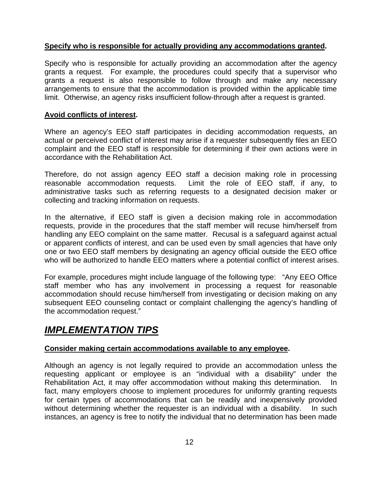#### **Specify who is responsible for actually providing any accommodations granted.**

Specify who is responsible for actually providing an accommodation after the agency grants a request. For example, the procedures could specify that a supervisor who grants a request is also responsible to follow through and make any necessary arrangements to ensure that the accommodation is provided within the applicable time limit. Otherwise, an agency risks insufficient follow-through after a request is granted.

#### **Avoid conflicts of interest.**

Where an agency's EEO staff participates in deciding accommodation requests, an actual or perceived conflict of interest may arise if a requester subsequently files an EEO complaint and the EEO staff is responsible for determining if their own actions were in accordance with the Rehabilitation Act.

Therefore, do not assign agency EEO staff a decision making role in processing reasonable accommodation requests. Limit the role of EEO staff, if any, to administrative tasks such as referring requests to a designated decision maker or collecting and tracking information on requests.

In the alternative, if EEO staff is given a decision making role in accommodation requests, provide in the procedures that the staff member will recuse him/herself from handling any EEO complaint on the same matter. Recusal is a safeguard against actual or apparent conflicts of interest, and can be used even by small agencies that have only one or two EEO staff members by designating an agency official outside the EEO office who will be authorized to handle EEO matters where a potential conflict of interest arises.

For example, procedures might include language of the following type: "Any EEO Office staff member who has any involvement in processing a request for reasonable accommodation should recuse him/herself from investigating or decision making on any subsequent EEO counseling contact or complaint challenging the agency's handling of the accommodation request."

## *IMPLEMENTATION TIPS*

#### **Consider making certain accommodations available to any employee.**

Although an agency is not legally required to provide an accommodation unless the requesting applicant or employee is an "individual with a disability" under the Rehabilitation Act, it may offer accommodation without making this determination. In fact, many employers choose to implement procedures for uniformly granting requests for certain types of accommodations that can be readily and inexpensively provided without determining whether the requester is an individual with a disability. In such instances, an agency is free to notify the individual that no determination has been made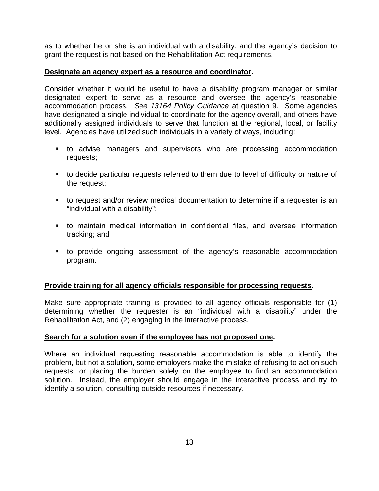as to whether he or she is an individual with a disability, and the agency's decision to grant the request is not based on the Rehabilitation Act requirements.

#### **Designate an agency expert as a resource and coordinator.**

Consider whether it would be useful to have a disability program manager or similar designated expert to serve as a resource and oversee the agency's reasonable accommodation process. *See 13164 Policy Guidance* at question 9. Some agencies have designated a single individual to coordinate for the agency overall, and others have additionally assigned individuals to serve that function at the regional, local, or facility level. Agencies have utilized such individuals in a variety of ways, including:

- to advise managers and supervisors who are processing accommodation requests;
- to decide particular requests referred to them due to level of difficulty or nature of the request;
- to request and/or review medical documentation to determine if a requester is an "individual with a disability";
- to maintain medical information in confidential files, and oversee information tracking; and
- to provide ongoing assessment of the agency's reasonable accommodation program.

#### **Provide training for all agency officials responsible for processing requests.**

Make sure appropriate training is provided to all agency officials responsible for (1) determining whether the requester is an "individual with a disability" under the Rehabilitation Act, and (2) engaging in the interactive process.

#### **Search for a solution even if the employee has not proposed one.**

Where an individual requesting reasonable accommodation is able to identify the problem, but not a solution, some employers make the mistake of refusing to act on such requests, or placing the burden solely on the employee to find an accommodation solution. Instead, the employer should engage in the interactive process and try to identify a solution, consulting outside resources if necessary.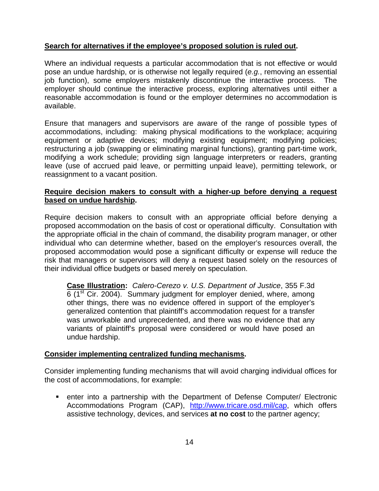#### **Search for alternatives if the employee's proposed solution is ruled out.**

Where an individual requests a particular accommodation that is not effective or would pose an undue hardship, or is otherwise not legally required (*e.g.*, removing an essential job function), some employers mistakenly discontinue the interactive process. The employer should continue the interactive process, exploring alternatives until either a reasonable accommodation is found or the employer determines no accommodation is available.

Ensure that managers and supervisors are aware of the range of possible types of accommodations, including: making physical modifications to the workplace; acquiring equipment or adaptive devices; modifying existing equipment; modifying policies; restructuring a job (swapping or eliminating marginal functions), granting part-time work, modifying a work schedule; providing sign language interpreters or readers, granting leave (use of accrued paid leave, or permitting unpaid leave), permitting telework, or reassignment to a vacant position.

#### **Require decision makers to consult with a higher-up before denying a request based on undue hardship.**

Require decision makers to consult with an appropriate official before denying a proposed accommodation on the basis of cost or operational difficulty. Consultation with the appropriate official in the chain of command, the disability program manager, or other individual who can determine whether, based on the employer's resources overall, the proposed accommodation would pose a significant difficulty or expense will reduce the risk that managers or supervisors will deny a request based solely on the resources of their individual office budgets or based merely on speculation.

**Case Illustration:** *Calero-Cerezo v. U.S. Department of Justice*, 355 F.3d  $6$  (1<sup>st</sup> Cir. 2004). Summary judgment for employer denied, where, among other things, there was no evidence offered in support of the employer's generalized contention that plaintiff's accommodation request for a transfer was unworkable and unprecedented, and there was no evidence that any variants of plaintiff's proposal were considered or would have posed an undue hardship.

#### **Consider implementing centralized funding mechanisms.**

Consider implementing funding mechanisms that will avoid charging individual offices for the cost of accommodations, for example:

 enter into a partnership with the Department of Defense Computer/ Electronic Accommodations Program (CAP), http://www.tricare.osd.mil/cap, which offers assistive technology, devices, and services **at no cost** to the partner agency;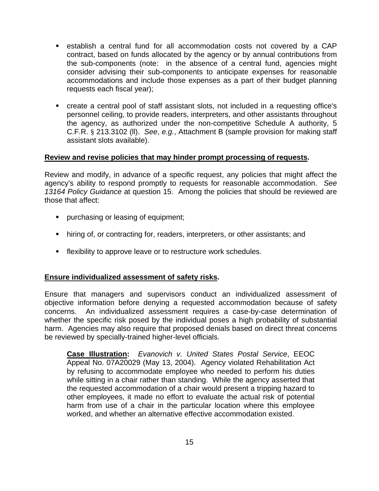- establish a central fund for all accommodation costs not covered by a CAP contract, based on funds allocated by the agency or by annual contributions from the sub-components (note: in the absence of a central fund, agencies might consider advising their sub-components to anticipate expenses for reasonable accommodations and include those expenses as a part of their budget planning requests each fiscal year);
- create a central pool of staff assistant slots, not included in a requesting office's personnel ceiling, to provide readers, interpreters, and other assistants throughout the agency, as authorized under the non-competitive Schedule A authority, 5 C.F.R. § 213.3102 (ll). *See*, *e.g.*, Attachment B (sample provision for making staff assistant slots available).

#### **Review and revise policies that may hinder prompt processing of requests.**

Review and modify, in advance of a specific request, any policies that might affect the agency's ability to respond promptly to requests for reasonable accommodation. *See 13164 Policy Guidance* at question 15. Among the policies that should be reviewed are those that affect:

- **Purchasing or leasing of equipment;**
- **•** hiring of, or contracting for, readers, interpreters, or other assistants; and
- **F** flexibility to approve leave or to restructure work schedules.

#### **Ensure individualized assessment of safety risks.**

Ensure that managers and supervisors conduct an individualized assessment of objective information before denying a requested accommodation because of safety concerns. An individualized assessment requires a case-by-case determination of whether the specific risk posed by the individual poses a high probability of substantial harm. Agencies may also require that proposed denials based on direct threat concerns be reviewed by specially-trained higher-level officials.

**Case Illustration:** *Evanovich v. United States Postal Service*, EEOC Appeal No. 07A20029 (May 13, 2004). Agency violated Rehabilitation Act by refusing to accommodate employee who needed to perform his duties while sitting in a chair rather than standing. While the agency asserted that the requested accommodation of a chair would present a tripping hazard to other employees, it made no effort to evaluate the actual risk of potential harm from use of a chair in the particular location where this employee worked, and whether an alternative effective accommodation existed.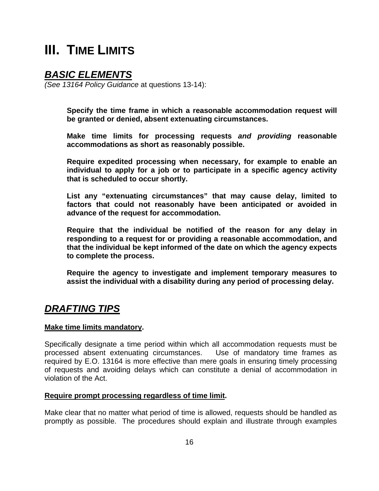## **III. TIME LIMITS**

### *BASIC ELEMENTS*

*(See 13164 Policy Guidance* at questions 13-14):

 **Specify the time frame in which a reasonable accommodation request will be granted or denied, absent extenuating circumstances.** 

 **Make time limits for processing requests** *and providing* **reasonable accommodations as short as reasonably possible.** 

 **Require expedited processing when necessary, for example to enable an individual to apply for a job or to participate in a specific agency activity that is scheduled to occur shortly.** 

 **List any "extenuating circumstances" that may cause delay, limited to factors that could not reasonably have been anticipated or avoided in advance of the request for accommodation.** 

 **Require that the individual be notified of the reason for any delay in responding to a request for or providing a reasonable accommodation, and that the individual be kept informed of the date on which the agency expects to complete the process.** 

 **Require the agency to investigate and implement temporary measures to assist the individual with a disability during any period of processing delay.** 

## *DRAFTING TIPS*

#### **Make time limits mandatory.**

Specifically designate a time period within which all accommodation requests must be processed absent extenuating circumstances. Use of mandatory time frames as required by E.O. 13164 is more effective than mere goals in ensuring timely processing of requests and avoiding delays which can constitute a denial of accommodation in violation of the Act.

#### **Require prompt processing regardless of time limit.**

Make clear that no matter what period of time is allowed, requests should be handled as promptly as possible.The procedures should explain and illustrate through examples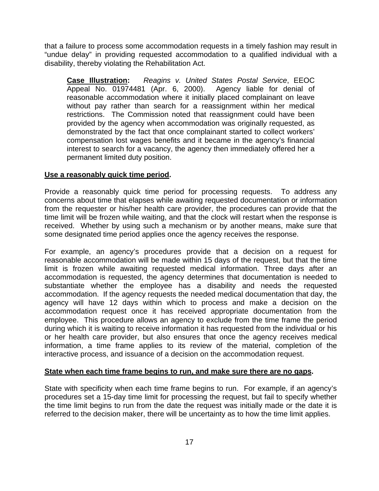that a failure to process some accommodation requests in a timely fashion may result in "undue delay" in providing requested accommodation to a qualified individual with a disability, thereby violating the Rehabilitation Act.

**Case Illustration:** *Reagins v. United States Postal Service*, EEOC Appeal No. 01974481 (Apr. 6, 2000). Agency liable for denial of reasonable accommodation where it initially placed complainant on leave without pay rather than search for a reassignment within her medical restrictions. The Commission noted that reassignment could have been provided by the agency when accommodation was originally requested, as demonstrated by the fact that once complainant started to collect workers' compensation lost wages benefits and it became in the agency's financial interest to search for a vacancy, the agency then immediately offered her a permanent limited duty position.

#### **Use a reasonably quick time period.**

Provide a reasonably quick time period for processing requests. To address any concerns about time that elapses while awaiting requested documentation or information from the requester or his/her health care provider, the procedures can provide that the time limit will be frozen while waiting, and that the clock will restart when the response is received. Whether by using such a mechanism or by another means, make sure that some designated time period applies once the agency receives the response.

For example, an agency's procedures provide that a decision on a request for reasonable accommodation will be made within 15 days of the request, but that the time limit is frozen while awaiting requested medical information. Three days after an accommodation is requested, the agency determines that documentation is needed to substantiate whether the employee has a disability and needs the requested accommodation. If the agency requests the needed medical documentation that day, the agency will have 12 days within which to process and make a decision on the accommodation request once it has received appropriate documentation from the employee. This procedure allows an agency to exclude from the time frame the period during which it is waiting to receive information it has requested from the individual or his or her health care provider, but also ensures that once the agency receives medical information, a time frame applies to its review of the material, completion of the interactive process, and issuance of a decision on the accommodation request.

#### **State when each time frame begins to run, and make sure there are no gaps.**

State with specificity when each time frame begins to run. For example, if an agency's procedures set a 15-day time limit for processing the request, but fail to specify whether the time limit begins to run from the date the request was initially made or the date it is referred to the decision maker, there will be uncertainty as to how the time limit applies.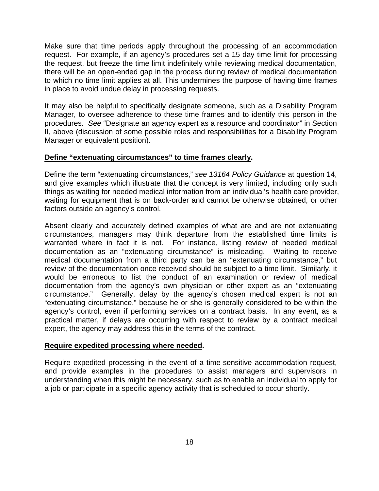Make sure that time periods apply throughout the processing of an accommodation request. For example, if an agency's procedures set a 15-day time limit for processing the request, but freeze the time limit indefinitely while reviewing medical documentation, there will be an open-ended gap in the process during review of medical documentation to which no time limit applies at all. This undermines the purpose of having time frames in place to avoid undue delay in processing requests.

It may also be helpful to specifically designate someone, such as a Disability Program Manager, to oversee adherence to these time frames and to identify this person in the procedures. *See* "Designate an agency expert as a resource and coordinator" in Section II, above (discussion of some possible roles and responsibilities for a Disability Program Manager or equivalent position).

#### **Define "extenuating circumstances" to time frames clearly.**

Define the term "extenuating circumstances," *see 13164 Policy Guidance* at question 14, and give examples which illustrate that the concept is very limited, including only such things as waiting for needed medical information from an individual's health care provider, waiting for equipment that is on back-order and cannot be otherwise obtained, or other factors outside an agency's control.

Absent clearly and accurately defined examples of what are and are not extenuating circumstances, managers may think departure from the established time limits is warranted where in fact it is not. For instance, listing review of needed medical documentation as an "extenuating circumstance" is misleading. Waiting to receive medical documentation from a third party can be an "extenuating circumstance," but review of the documentation once received should be subject to a time limit. Similarly, it would be erroneous to list the conduct of an examination or review of medical documentation from the agency's own physician or other expert as an "extenuating circumstance." Generally, delay by the agency's chosen medical expert is not an "extenuating circumstance," because he or she is generally considered to be within the agency's control, even if performing services on a contract basis. In any event, as a practical matter, if delays are occurring with respect to review by a contract medical expert, the agency may address this in the terms of the contract.

#### **Require expedited processing where needed.**

Require expedited processing in the event of a time-sensitive accommodation request, and provide examples in the procedures to assist managers and supervisors in understanding when this might be necessary, such as to enable an individual to apply for a job or participate in a specific agency activity that is scheduled to occur shortly.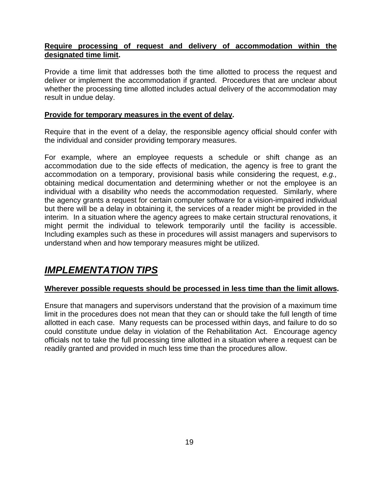#### **Require processing of request and delivery of accommodation within the designated time limit.**

Provide a time limit that addresses both the time allotted to process the request and deliver or implement the accommodation if granted. Procedures that are unclear about whether the processing time allotted includes actual delivery of the accommodation may result in undue delay.

#### **Provide for temporary measures in the event of delay.**

Require that in the event of a delay, the responsible agency official should confer with the individual and consider providing temporary measures.

For example, where an employee requests a schedule or shift change as an accommodation due to the side effects of medication, the agency is free to grant the accommodation on a temporary, provisional basis while considering the request, *e.g.,*  obtaining medical documentation and determining whether or not the employee is an individual with a disability who needs the accommodation requested.Similarly, where the agency grants a request for certain computer software for a vision-impaired individual but there will be a delay in obtaining it, the services of a reader might be provided in the interim. In a situation where the agency agrees to make certain structural renovations, it might permit the individual to telework temporarily until the facility is accessible. Including examples such as these in procedures will assist managers and supervisors to understand when and how temporary measures might be utilized.

## *IMPLEMENTATION TIPS*

#### **Wherever possible requests should be processed in less time than the limit allows.**

Ensure that managers and supervisors understand that the provision of a maximum time limit in the procedures does not mean that they can or should take the full length of time allotted in each case. Many requests can be processed within days, and failure to do so could constitute undue delay in violation of the Rehabilitation Act. Encourage agency officials not to take the full processing time allotted in a situation where a request can be readily granted and provided in much less time than the procedures allow.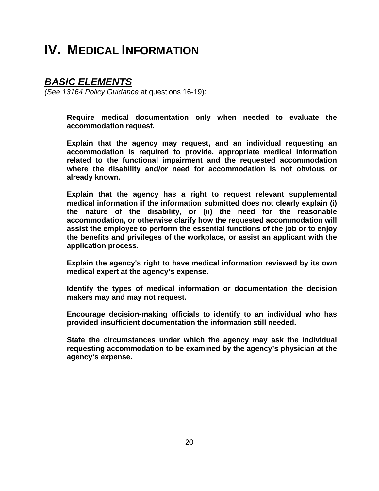## **IV. MEDICAL INFORMATION**

### *BASIC ELEMENTS*

*(See 13164 Policy Guidance* at questions 16-19):

 **Require medical documentation only when needed to evaluate the accommodation request.** 

 **Explain that the agency may request, and an individual requesting an accommodation is required to provide, appropriate medical information related to the functional impairment and the requested accommodation where the disability and/or need for accommodation is not obvious or already known.** 

 **Explain that the agency has a right to request relevant supplemental medical information if the information submitted does not clearly explain (i) the nature of the disability, or (ii) the need for the reasonable accommodation, or otherwise clarify how the requested accommodation will assist the employee to perform the essential functions of the job or to enjoy the benefits and privileges of the workplace, or assist an applicant with the application process.** 

 **Explain the agency's right to have medical information reviewed by its own medical expert at the agency's expense.** 

 **Identify the types of medical information or documentation the decision makers may and may not request.** 

 **Encourage decision-making officials to identify to an individual who has provided insufficient documentation the information still needed.** 

 **State the circumstances under which the agency may ask the individual requesting accommodation to be examined by the agency's physician at the agency's expense.**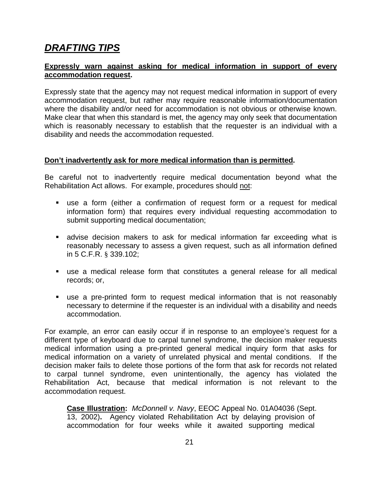## *DRAFTING TIPS*

#### **Expressly warn against asking for medical information in support of every accommodation request.**

Expressly state that the agency may not request medical information in support of every accommodation request, but rather may require reasonable information/documentation where the disability and/or need for accommodation is not obvious or otherwise known. Make clear that when this standard is met, the agency may only seek that documentation which is reasonably necessary to establish that the requester is an individual with a disability and needs the accommodation requested.

#### **Don't inadvertently ask for more medical information than is permitted.**

Be careful not to inadvertently require medical documentation beyond what the Rehabilitation Act allows. For example, procedures should not:

- use a form (either a confirmation of request form or a request for medical information form) that requires every individual requesting accommodation to submit supporting medical documentation;
- advise decision makers to ask for medical information far exceeding what is reasonably necessary to assess a given request, such as all information defined in 5 C.F.R. § 339.102;
- use a medical release form that constitutes a general release for all medical records; or,
- use a pre-printed form to request medical information that is not reasonably necessary to determine if the requester is an individual with a disability and needs accommodation.

For example, an error can easily occur if in response to an employee's request for a different type of keyboard due to carpal tunnel syndrome, the decision maker requests medical information using a pre-printed general medical inquiry form that asks for medical information on a variety of unrelated physical and mental conditions. If the decision maker fails to delete those portions of the form that ask for records not related to carpal tunnel syndrome, even unintentionally, the agency has violated the Rehabilitation Act, because that medical information is not relevant to the accommodation request.

**Case Illustration:** *McDonnell v. Navy*, EEOC Appeal No. 01A04036 (Sept. 13, 2002)**.** Agency violated Rehabilitation Act by delaying provision of accommodation for four weeks while it awaited supporting medical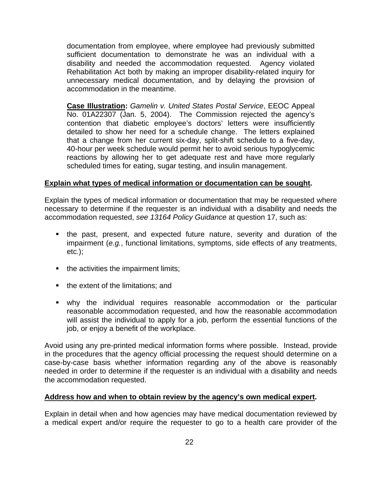documentation from employee, where employee had previously submitted sufficient documentation to demonstrate he was an individual with a disability and needed the accommodation requested. Agency violated Rehabilitation Act both by making an improper disability-related inquiry for unnecessary medical documentation, and by delaying the provision of accommodation in the meantime.

**Case Illustration:** *Gamelin v. United States Postal Service*, EEOC Appeal No. 01A22307 (Jan. 5, 2004). The Commission rejected the agency's contention that diabetic employee's doctors' letters were insufficiently detailed to show her need for a schedule change. The letters explained that a change from her current six-day, split-shift schedule to a five-day, 40-hour per week schedule would permit her to avoid serious hypoglycemic reactions by allowing her to get adequate rest and have more regularly scheduled times for eating, sugar testing, and insulin management.

#### **Explain what types of medical information or documentation can be sought.**

Explain the types of medical information or documentation that may be requested where necessary to determine if the requester is an individual with a disability and needs the accommodation requested, *see 13164 Policy Guidance* at question 17, such as:

- the past, present, and expected future nature, severity and duration of the impairment (*e.g.*, functional limitations, symptoms, side effects of any treatments, etc.);
- $\blacksquare$  the activities the impairment limits;
- $\blacksquare$  the extent of the limitations; and
- why the individual requires reasonable accommodation or the particular reasonable accommodation requested, and how the reasonable accommodation will assist the individual to apply for a job, perform the essential functions of the job, or enjoy a benefit of the workplace.

Avoid using any pre-printed medical information forms where possible. Instead, provide in the procedures that the agency official processing the request should determine on a case-by-case basis whether information regarding any of the above is reasonably needed in order to determine if the requester is an individual with a disability and needs the accommodation requested.

#### **Address how and when to obtain review by the agency's own medical expert.**

Explain in detail when and how agencies may have medical documentation reviewed by a medical expert and/or require the requester to go to a health care provider of the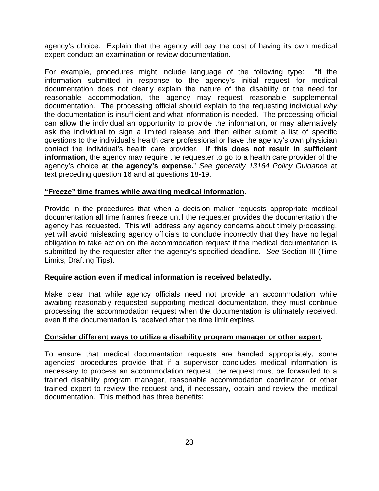agency's choice. Explain that the agency will pay the cost of having its own medical expert conduct an examination or review documentation.

For example, procedures might include language of the following type: "If the information submitted in response to the agency's initial request for medical documentation does not clearly explain the nature of the disability or the need for reasonable accommodation, the agency may request reasonable supplemental documentation. The processing official should explain to the requesting individual *why* the documentation is insufficient and what information is needed. The processing official can allow the individual an opportunity to provide the information, or may alternatively ask the individual to sign a limited release and then either submit a list of specific questions to the individual's health care professional or have the agency's own physician contact the individual's health care provider. **If this does not result in sufficient information**, the agency may require the requester to go to a health care provider of the agency's choice **at the agency's expense.**" *See generally 13164 Policy Guidance* at text preceding question 16 and at questions 18-19.

#### **"Freeze" time frames while awaiting medical information.**

Provide in the procedures that when a decision maker requests appropriate medical documentation all time frames freeze until the requester provides the documentation the agency has requested. This will address any agency concerns about timely processing, yet will avoid misleading agency officials to conclude incorrectly that they have no legal obligation to take action on the accommodation request if the medical documentation is submitted by the requester after the agency's specified deadline. *See* Section III (Time Limits, Drafting Tips).

#### **Require action even if medical information is received belatedly.**

Make clear that while agency officials need not provide an accommodation while awaiting reasonably requested supporting medical documentation, they must continue processing the accommodation request when the documentation is ultimately received, even if the documentation is received after the time limit expires.

#### **Consider different ways to utilize a disability program manager or other expert.**

To ensure that medical documentation requests are handled appropriately, some agencies' procedures provide that if a supervisor concludes medical information is necessary to process an accommodation request, the request must be forwarded to a trained disability program manager, reasonable accommodation coordinator, or other trained expert to review the request and, if necessary, obtain and review the medical documentation. This method has three benefits: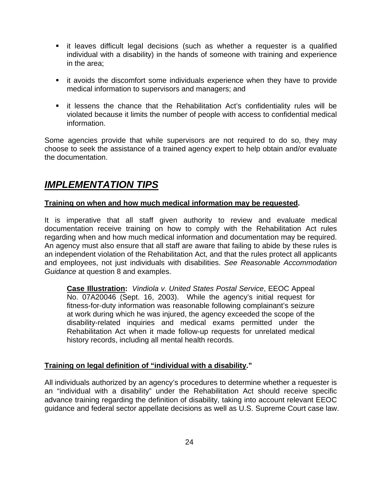- it leaves difficult legal decisions (such as whether a requester is a qualified individual with a disability) in the hands of someone with training and experience in the area;
- it avoids the discomfort some individuals experience when they have to provide medical information to supervisors and managers; and
- it lessens the chance that the Rehabilitation Act's confidentiality rules will be violated because it limits the number of people with access to confidential medical information.

Some agencies provide that while supervisors are not required to do so, they may choose to seek the assistance of a trained agency expert to help obtain and/or evaluate the documentation.

## *IMPLEMENTATION TIPS*

#### **Training on when and how much medical information may be requested.**

It is imperative that all staff given authority to review and evaluate medical documentation receive training on how to comply with the Rehabilitation Act rules regarding when and how much medical information and documentation may be required. An agency must also ensure that all staff are aware that failing to abide by these rules is an independent violation of the Rehabilitation Act, and that the rules protect all applicants and employees, not just individuals with disabilities. *See Reasonable Accommodation Guidance* at question 8 and examples.

**Case Illustration:** *Vindiola v. United States Postal Service*, EEOC Appeal No. 07A20046 (Sept. 16, 2003). While the agency's initial request for fitness-for-duty information was reasonable following complainant's seizure at work during which he was injured, the agency exceeded the scope of the disability-related inquiries and medical exams permitted under the Rehabilitation Act when it made follow-up requests for unrelated medical history records, including all mental health records.

#### **Training on legal definition of "individual with a disability."**

All individuals authorized by an agency's procedures to determine whether a requester is an "individual with a disability" under the Rehabilitation Act should receive specific advance training regarding the definition of disability, taking into account relevant EEOC guidance and federal sector appellate decisions as well as U.S. Supreme Court case law.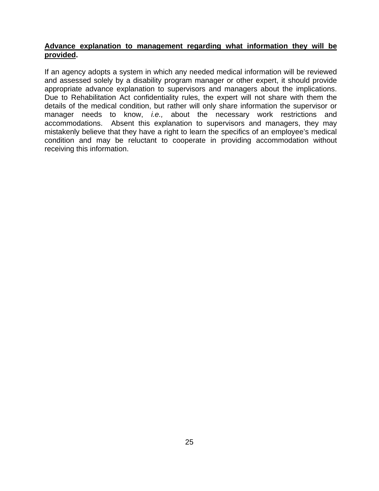#### **Advance explanation to management regarding what information they will be provided.**

If an agency adopts a system in which any needed medical information will be reviewed and assessed solely by a disability program manager or other expert, it should provide appropriate advance explanation to supervisors and managers about the implications. Due to Rehabilitation Act confidentiality rules, the expert will not share with them the details of the medical condition, but rather will only share information the supervisor or manager needs to know, *i.e.,* about the necessary work restrictions and accommodations. Absent this explanation to supervisors and managers, they may mistakenly believe that they have a right to learn the specifics of an employee's medical condition and may be reluctant to cooperate in providing accommodation without receiving this information.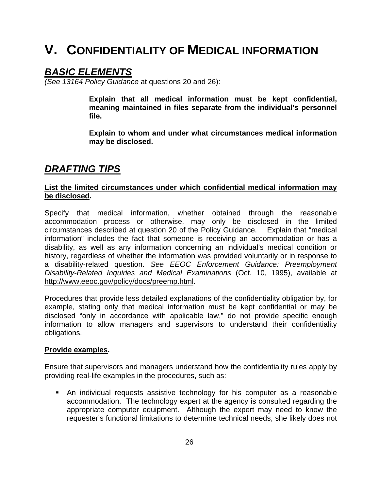## **V. CONFIDENTIALITY OF MEDICAL INFORMATION**

### *BASIC ELEMENTS*

*(See 13164 Policy Guidance* at questions 20 and 26):

 **Explain that all medical information must be kept confidential, meaning maintained in files separate from the individual's personnel file.** 

 **Explain to whom and under what circumstances medical information may be disclosed.** 

### *DRAFTING TIPS*

#### **List the limited circumstances under which confidential medical information may be disclosed.**

Specify that medical information, whether obtained through the reasonable accommodation process or otherwise, may only be disclosed in the limited circumstances described at question 20 of the Policy Guidance. Explain that "medical information" includes the fact that someone is receiving an accommodation or has a disability, as well as any information concerning an individual's medical condition or history, regardless of whether the information was provided voluntarily or in response to a disability-related question. *See EEOC Enforcement Guidance: Preemployment Disability-Related Inquiries and Medical Examinations* (Oct. 10, 1995), available at http://www.eeoc.gov/policy/docs/preemp.html.

Procedures that provide less detailed explanations of the confidentiality obligation by, for example, stating only that medical information must be kept confidential or may be disclosed "only in accordance with applicable law," do not provide specific enough information to allow managers and supervisors to understand their confidentiality obligations.

#### **Provide examples.**

Ensure that supervisors and managers understand how the confidentiality rules apply by providing real-life examples in the procedures, such as:

 An individual requests assistive technology for his computer as a reasonable accommodation. The technology expert at the agency is consulted regarding the appropriate computer equipment. Although the expert may need to know the requester's functional limitations to determine technical needs, she likely does not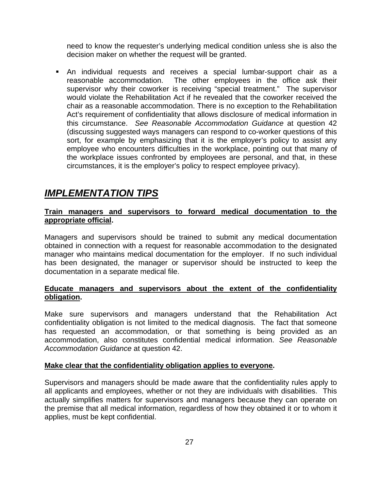need to know the requester's underlying medical condition unless she is also the decision maker on whether the request will be granted.

 An individual requests and receives a special lumbar-support chair as a reasonable accommodation. The other employees in the office ask their supervisor why their coworker is receiving "special treatment." The supervisor would violate the Rehabilitation Act if he revealed that the coworker received the chair as a reasonable accommodation. There is no exception to the Rehabilitation Act's requirement of confidentiality that allows disclosure of medical information in this circumstance. *See Reasonable Accommodation Guidance* at question 42 (discussing suggested ways managers can respond to co-worker questions of this sort, for example by emphasizing that it is the employer's policy to assist any employee who encounters difficulties in the workplace, pointing out that many of the workplace issues confronted by employees are personal, and that, in these circumstances, it is the employer's policy to respect employee privacy).

## *IMPLEMENTATION TIPS*

#### **Train managers and supervisors to forward medical documentation to the appropriate official.**

Managers and supervisors should be trained to submit any medical documentation obtained in connection with a request for reasonable accommodation to the designated manager who maintains medical documentation for the employer. If no such individual has been designated, the manager or supervisor should be instructed to keep the documentation in a separate medical file.

#### **Educate managers and supervisors about the extent of the confidentiality obligation.**

Make sure supervisors and managers understand that the Rehabilitation Act confidentiality obligation is not limited to the medical diagnosis. The fact that someone has requested an accommodation, or that something is being provided as an accommodation, also constitutes confidential medical information. *See Reasonable Accommodation Guidance* at question 42.

#### **Make clear that the confidentiality obligation applies to everyone.**

Supervisors and managers should be made aware that the confidentiality rules apply to all applicants and employees, whether or not they are individuals with disabilities. This actually simplifies matters for supervisors and managers because they can operate on the premise that all medical information, regardless of how they obtained it or to whom it applies, must be kept confidential.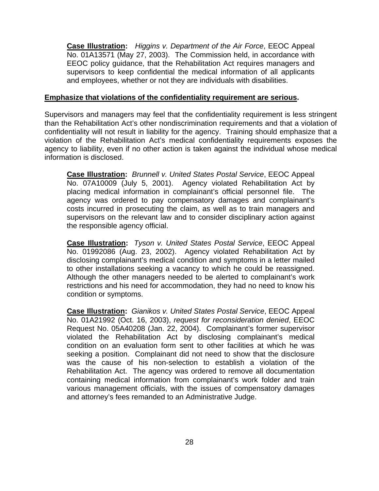**Case Illustration:** *Higgins v. Department of the Air Force*, EEOC Appeal No. 01A13571 (May 27, 2003). The Commission held, in accordance with EEOC policy guidance, that the Rehabilitation Act requires managers and supervisors to keep confidential the medical information of all applicants and employees, whether or not they are individuals with disabilities.

#### **Emphasize that violations of the confidentiality requirement are serious.**

Supervisors and managers may feel that the confidentiality requirement is less stringent than the Rehabilitation Act's other nondiscrimination requirements and that a violation of confidentiality will not result in liability for the agency. Training should emphasize that a violation of the Rehabilitation Act's medical confidentiality requirements exposes the agency to liability, even if no other action is taken against the individual whose medical information is disclosed.

**Case Illustration:** *Brunnell v. United States Postal Service*, EEOC Appeal No. 07A10009 (July 5, 2001). Agency violated Rehabilitation Act by placing medical information in complainant's official personnel file. The agency was ordered to pay compensatory damages and complainant's costs incurred in prosecuting the claim, as well as to train managers and supervisors on the relevant law and to consider disciplinary action against the responsible agency official.

**Case Illustration:** *Tyson v. United States Postal Service*, EEOC Appeal No. 01992086 (Aug. 23, 2002). Agency violated Rehabilitation Act by disclosing complainant's medical condition and symptoms in a letter mailed to other installations seeking a vacancy to which he could be reassigned. Although the other managers needed to be alerted to complainant's work restrictions and his need for accommodation, they had no need to know his condition or symptoms.

**Case Illustration:** *Gianikos v. United States Postal Service*, EEOC Appeal No. 01A21992 (Oct. 16, 2003), *request for reconsideration denied*, EEOC Request No. 05A40208 (Jan. 22, 2004). Complainant's former supervisor violated the Rehabilitation Act by disclosing complainant's medical condition on an evaluation form sent to other facilities at which he was seeking a position. Complainant did not need to show that the disclosure was the cause of his non-selection to establish a violation of the Rehabilitation Act. The agency was ordered to remove all documentation containing medical information from complainant's work folder and train various management officials, with the issues of compensatory damages and attorney's fees remanded to an Administrative Judge.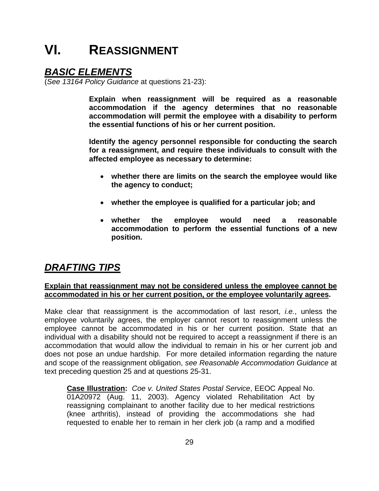## **VI. REASSIGNMENT**

## *BASIC ELEMENTS*

(*See 13164 Policy Guidance* at questions 21-23):

**Explain when reassignment will be required as a reasonable accommodation if the agency determines that no reasonable accommodation will permit the employee with a disability to perform the essential functions of his or her current position.** 

 **Identify the agency personnel responsible for conducting the search for a reassignment, and require these individuals to consult with the affected employee as necessary to determine:** 

- **whether there are limits on the search the employee would like the agency to conduct;**
- **whether the employee is qualified for a particular job; and**
- **whether the employee would need a reasonable accommodation to perform the essential functions of a new position.**

## *DRAFTING TIPS*

#### **Explain that reassignment may not be considered unless the employee cannot be accommodated in his or her current position, or the employee voluntarily agrees.**

Make clear that reassignment is the accommodation of last resort, *i.e.*, unless the employee voluntarily agrees, the employer cannot resort to reassignment unless the employee cannot be accommodated in his or her current position. State that an individual with a disability should not be required to accept a reassignment if there is an accommodation that would allow the individual to remain in his or her current job and does not pose an undue hardship. For more detailed information regarding the nature and scope of the reassignment obligation, *see Reasonable Accommodation Guidance* at text preceding question 25 and at questions 25-31.

**Case Illustration:** *Coe v. United States Postal Service*, EEOC Appeal No. 01A20972 (Aug. 11, 2003). Agency violated Rehabilitation Act by reassigning complainant to another facility due to her medical restrictions (knee arthritis), instead of providing the accommodations she had requested to enable her to remain in her clerk job (a ramp and a modified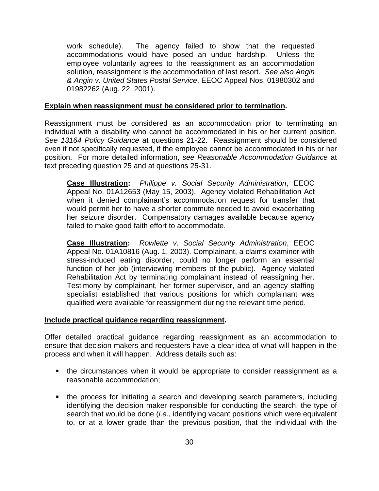work schedule). The agency failed to show that the requested accommodations would have posed an undue hardship. Unless the employee voluntarily agrees to the reassignment as an accommodation solution, reassignment is the accommodation of last resort. *See also Angin & Angin v. United States Postal Service*, EEOC Appeal Nos. 01980302 and 01982262 (Aug. 22, 2001).

#### **Explain when reassignment must be considered prior to termination.**

Reassignment must be considered as an accommodation prior to terminating an individual with a disability who cannot be accommodated in his or her current position. *See 13164 Policy Guidance* at questions 21-22. Reassignment should be considered even if not specifically requested, if the employee cannot be accommodated in his or her position. For more detailed information, *see Reasonable Accommodation Guidance* at text preceding question 25 and at questions 25-31.

**Case Illustration:** *Philippe v. Social Security Administration*, EEOC Appeal No. 01A12653 (May 15, 2003). Agency violated Rehabilitation Act when it denied complainant's accommodation request for transfer that would permit her to have a shorter commute needed to avoid exacerbating her seizure disorder. Compensatory damages available because agency failed to make good faith effort to accommodate.

**Case Illustration:** *Rowlette v. Social Security Administration*, EEOC Appeal No. 01A10816 (Aug. 1, 2003). Complainant, a claims examiner with stress-induced eating disorder, could no longer perform an essential function of her job (interviewing members of the public). Agency violated Rehabilitation Act by terminating complainant instead of reassigning her. Testimony by complainant, her former supervisor, and an agency staffing specialist established that various positions for which complainant was qualified were available for reassignment during the relevant time period.

#### **Include practical guidance regarding reassignment.**

Offer detailed practical guidance regarding reassignment as an accommodation to ensure that decision makers and requesters have a clear idea of what will happen in the process and when it will happen. Address details such as:

- the circumstances when it would be appropriate to consider reassignment as a reasonable accommodation;
- the process for initiating a search and developing search parameters, including identifying the decision maker responsible for conducting the search, the type of search that would be done (*i.e.*, identifying vacant positions which were equivalent to, or at a lower grade than the previous position, that the individual with the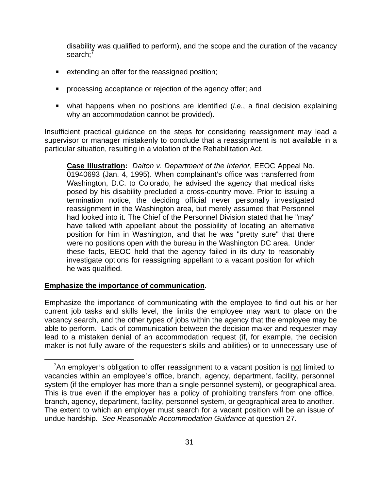disability was qualified to perform), and the scope and the duration of the vacancy search;<sup>7</sup>

- **EXTED EXTENDING extending an offer for the reassigned position;**
- **Perocessing acceptance or rejection of the agency offer; and**
- what happens when no positions are identified (*i.e.*, a final decision explaining why an accommodation cannot be provided).

Insufficient practical guidance on the steps for considering reassignment may lead a supervisor or manager mistakenly to conclude that a reassignment is not available in a particular situation, resulting in a violation of the Rehabilitation Act.

**Case Illustration:** *Dalton v. Department of the Interior*, EEOC Appeal No. 01940693 (Jan. 4, 1995). When complainant's office was transferred from Washington, D.C. to Colorado, he advised the agency that medical risks posed by his disability precluded a cross-country move. Prior to issuing a termination notice, the deciding official never personally investigated reassignment in the Washington area, but merely assumed that Personnel had looked into it. The Chief of the Personnel Division stated that he "may" have talked with appellant about the possibility of locating an alternative position for him in Washington, and that he was "pretty sure" that there were no positions open with the bureau in the Washington DC area. Under these facts, EEOC held that the agency failed in its duty to reasonably investigate options for reassigning appellant to a vacant position for which he was qualified.

#### **Emphasize the importance of communication.**

 $\overline{a}$ 

Emphasize the importance of communicating with the employee to find out his or her current job tasks and skills level, the limits the employee may want to place on the vacancy search, and the other types of jobs within the agency that the employee may be able to perform. Lack of communication between the decision maker and requester may lead to a mistaken denial of an accommodation request (if, for example, the decision maker is not fully aware of the requester's skills and abilities) or to unnecessary use of

 $17$ An employer's obligation to offer reassignment to a vacant position is not limited to vacancies within an employee's office, branch, agency, department, facility, personnel system (if the employer has more than a single personnel system), or geographical area. This is true even if the employer has a policy of prohibiting transfers from one office, branch, agency, department, facility, personnel system, or geographical area to another. The extent to which an employer must search for a vacant position will be an issue of undue hardship. *See Reasonable Accommodation Guidance* at question 27.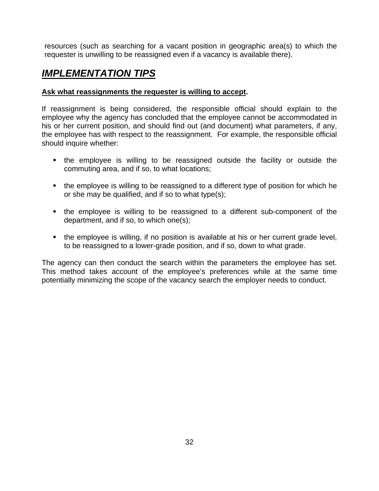resources (such as searching for a vacant position in geographic area(s) to which the requester is unwilling to be reassigned even if a vacancy is available there).

## *IMPLEMENTATION TIPS*

#### **Ask what reassignments the requester is willing to accept.**

If reassignment is being considered, the responsible official should explain to the employee why the agency has concluded that the employee cannot be accommodated in his or her current position, and should find out (and document) what parameters, if any, the employee has with respect to the reassignment. For example, the responsible official should inquire whether:

- the employee is willing to be reassigned outside the facility or outside the commuting area, and if so, to what locations;
- the employee is willing to be reassigned to a different type of position for which he or she may be qualified, and if so to what type(s);
- the employee is willing to be reassigned to a different sub-component of the department, and if so, to which one(s);
- the employee is willing, if no position is available at his or her current grade level, to be reassigned to a lower-grade position, and if so, down to what grade.

The agency can then conduct the search within the parameters the employee has set. This method takes account of the employee's preferences while at the same time potentially minimizing the scope of the vacancy search the employer needs to conduct.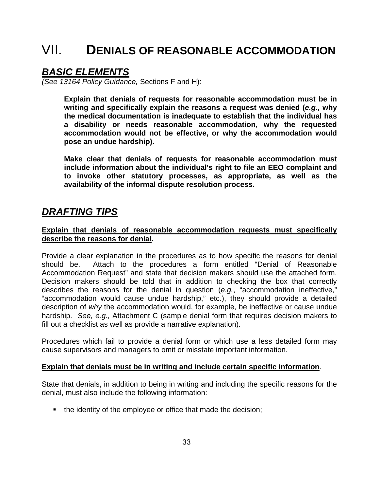## VII. **DENIALS OF REASONABLE ACCOMMODATION**

### *BASIC ELEMENTS*

*(See 13164 Policy Guidance,* Sections F and H):

 **Explain that denials of requests for reasonable accommodation must be in writing and specifically explain the reasons a request was denied (***e.g.,* **why the medical documentation is inadequate to establish that the individual has a disability or needs reasonable accommodation, why the requested accommodation would not be effective, or why the accommodation would pose an undue hardship).** 

 **Make clear that denials of requests for reasonable accommodation must include information about the individual's right to file an EEO complaint and to invoke other statutory processes, as appropriate, as well as the availability of the informal dispute resolution process.** 

### *DRAFTING TIPS*

#### **Explain that denials of reasonable accommodation requests must specifically describe the reasons for denial.**

Provide a clear explanation in the procedures as to how specific the reasons for denial should be. Attach to the procedures a form entitled "Denial of Reasonable Accommodation Request" and state that decision makers should use the attached form. Decision makers should be told that in addition to checking the box that correctly describes the reasons for the denial in question (*e.g.*, "accommodation ineffective," "accommodation would cause undue hardship," etc.), they should provide a detailed description of *why* the accommodation would, for example, be ineffective or cause undue hardship. *See, e.g.,* Attachment C (sample denial form that requires decision makers to fill out a checklist as well as provide a narrative explanation).

Procedures which fail to provide a denial form or which use a less detailed form may cause supervisors and managers to omit or misstate important information.

#### **Explain that denials must be in writing and include certain specific information**.

State that denials, in addition to being in writing and including the specific reasons for the denial, must also include the following information:

• the identity of the employee or office that made the decision;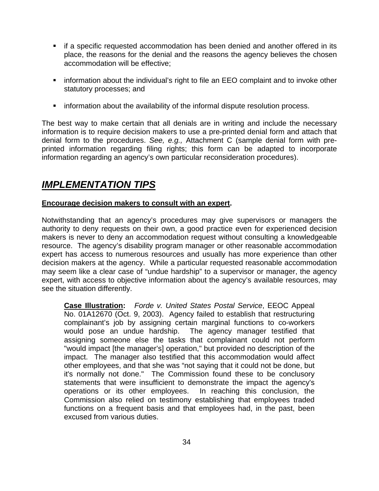- if a specific requested accommodation has been denied and another offered in its place, the reasons for the denial and the reasons the agency believes the chosen accommodation will be effective;
- **•** information about the individual's right to file an EEO complaint and to invoke other statutory processes; and
- **•** information about the availability of the informal dispute resolution process.

The best way to make certain that all denials are in writing and include the necessary information is to require decision makers to use a pre-printed denial form and attach that denial form to the procedures. *See, e.g.,* Attachment C (sample denial form with preprinted information regarding filing rights; this form can be adapted to incorporate information regarding an agency's own particular reconsideration procedures).

## *IMPLEMENTATION TIPS*

#### **Encourage decision makers to consult with an expert.**

Notwithstanding that an agency's procedures may give supervisors or managers the authority to deny requests on their own, a good practice even for experienced decision makers is never to deny an accommodation request without consulting a knowledgeable resource. The agency's disability program manager or other reasonable accommodation expert has access to numerous resources and usually has more experience than other decision makers at the agency. While a particular requested reasonable accommodation may seem like a clear case of "undue hardship" to a supervisor or manager, the agency expert, with access to objective information about the agency's available resources, may see the situation differently.

**Case Illustration:** *Forde v. United States Postal Service*, EEOC Appeal No. 01A12670 (Oct. 9, 2003). Agency failed to establish that restructuring complainant's job by assigning certain marginal functions to co-workers would pose an undue hardship. The agency manager testified that assigning someone else the tasks that complainant could not perform "would impact [the manager's] operation," but provided no description of the impact. The manager also testified that this accommodation would affect other employees, and that she was "not saying that it could not be done, but it's normally not done." The Commission found these to be conclusory statements that were insufficient to demonstrate the impact the agency's operations or its other employees. In reaching this conclusion, the Commission also relied on testimony establishing that employees traded functions on a frequent basis and that employees had, in the past, been excused from various duties.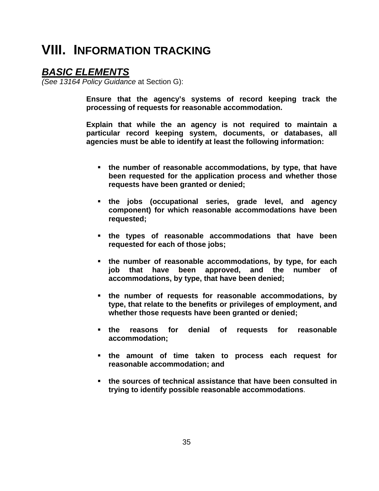## **VIII. INFORMATION TRACKING**

### *BASIC ELEMENTS*

*(See 13164 Policy Guidance* at Section G):

 **Ensure that the agency's systems of record keeping track the processing of requests for reasonable accommodation.** 

 **Explain that while the an agency is not required to maintain a particular record keeping system, documents, or databases, all agencies must be able to identify at least the following information:** 

- **the number of reasonable accommodations, by type, that have been requested for the application process and whether those requests have been granted or denied;**
- **the jobs (occupational series, grade level, and agency component) for which reasonable accommodations have been requested;**
- **the types of reasonable accommodations that have been requested for each of those jobs;**
- **the number of reasonable accommodations, by type, for each job that have been approved, and the number of accommodations, by type, that have been denied;**
- **the number of requests for reasonable accommodations, by type, that relate to the benefits or privileges of employment, and whether those requests have been granted or denied;**
- **the reasons for denial of requests for reasonable accommodation;**
- **the amount of time taken to process each request for reasonable accommodation; and**
- **the sources of technical assistance that have been consulted in trying to identify possible reasonable accommodations**.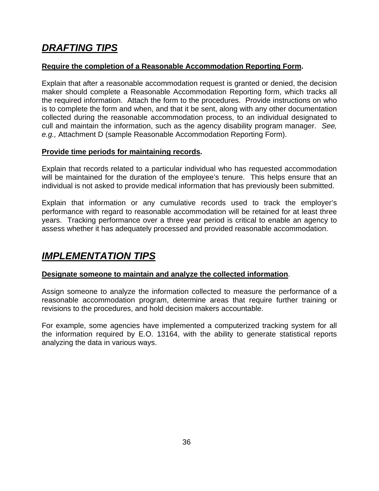## *DRAFTING TIPS*

#### **Require the completion of a Reasonable Accommodation Reporting Form.**

Explain that after a reasonable accommodation request is granted or denied, the decision maker should complete a Reasonable Accommodation Reporting form, which tracks all the required information. Attach the form to the procedures. Provide instructions on who is to complete the form and when, and that it be sent, along with any other documentation collected during the reasonable accommodation process, to an individual designated to cull and maintain the information, such as the agency disability program manager. *See, e.g.,* Attachment D (sample Reasonable Accommodation Reporting Form).

#### **Provide time periods for maintaining records.**

Explain that records related to a particular individual who has requested accommodation will be maintained for the duration of the employee's tenure. This helps ensure that an individual is not asked to provide medical information that has previously been submitted.

Explain that information or any cumulative records used to track the employer's performance with regard to reasonable accommodation will be retained for at least three years. Tracking performance over a three year period is critical to enable an agency to assess whether it has adequately processed and provided reasonable accommodation.

## *IMPLEMENTATION TIPS*

#### **Designate someone to maintain and analyze the collected information**.

Assign someone to analyze the information collected to measure the performance of a reasonable accommodation program, determine areas that require further training or revisions to the procedures, and hold decision makers accountable.

For example, some agencies have implemented a computerized tracking system for all the information required by E.O. 13164, with the ability to generate statistical reports analyzing the data in various ways.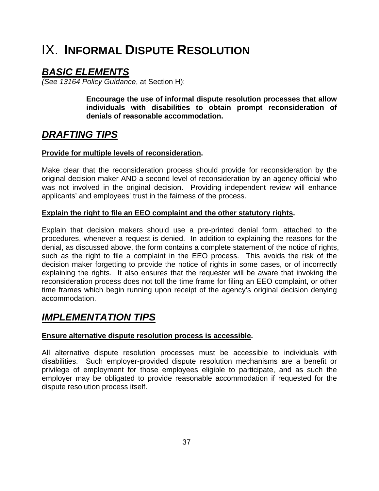## IX. **INFORMAL DISPUTE RESOLUTION**

## *BASIC ELEMENTS*

*(See 13164 Policy Guidance*, at Section H):

 **Encourage the use of informal dispute resolution processes that allow individuals with disabilities to obtain prompt reconsideration of denials of reasonable accommodation.**

## *DRAFTING TIPS*

#### **Provide for multiple levels of reconsideration.**

Make clear that the reconsideration process should provide for reconsideration by the original decision maker AND a second level of reconsideration by an agency official who was not involved in the original decision. Providing independent review will enhance applicants' and employees' trust in the fairness of the process.

#### **Explain the right to file an EEO complaint and the other statutory rights.**

Explain that decision makers should use a pre-printed denial form, attached to the procedures, whenever a request is denied. In addition to explaining the reasons for the denial, as discussed above, the form contains a complete statement of the notice of rights, such as the right to file a complaint in the EEO process. This avoids the risk of the decision maker forgetting to provide the notice of rights in some cases, or of incorrectly explaining the rights. It also ensures that the requester will be aware that invoking the reconsideration process does not toll the time frame for filing an EEO complaint, or other time frames which begin running upon receipt of the agency's original decision denying accommodation.

## *IMPLEMENTATION TIPS*

#### **Ensure alternative dispute resolution process is accessible.**

All alternative dispute resolution processes must be accessible to individuals with disabilities. Such employer-provided dispute resolution mechanisms are a benefit or privilege of employment for those employees eligible to participate, and as such the employer may be obligated to provide reasonable accommodation if requested for the dispute resolution process itself.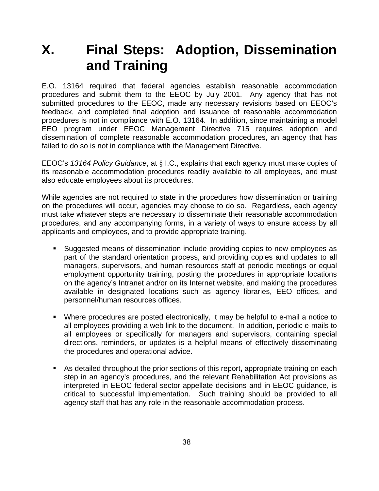## **X. Final Steps: Adoption, Dissemination and Training**

E.O. 13164 required that federal agencies establish reasonable accommodation procedures and submit them to the EEOC by July 2001. Any agency that has not submitted procedures to the EEOC, made any necessary revisions based on EEOC's feedback, and completed final adoption and issuance of reasonable accommodation procedures is not in compliance with E.O. 13164. In addition, since maintaining a model EEO program under EEOC Management Directive 715 requires adoption and dissemination of complete reasonable accommodation procedures, an agency that has failed to do so is not in compliance with the Management Directive.

EEOC's *13164 Policy Guidance*, at § I.C., explains that each agency must make copies of its reasonable accommodation procedures readily available to all employees, and must also educate employees about its procedures.

While agencies are not required to state in the procedures how dissemination or training on the procedures will occur, agencies may choose to do so. Regardless, each agency must take whatever steps are necessary to disseminate their reasonable accommodation procedures, and any accompanying forms, in a variety of ways to ensure access by all applicants and employees, and to provide appropriate training.

- Suggested means of dissemination include providing copies to new employees as part of the standard orientation process, and providing copies and updates to all managers, supervisors, and human resources staff at periodic meetings or equal employment opportunity training, posting the procedures in appropriate locations on the agency's Intranet and/or on its Internet website, and making the procedures available in designated locations such as agency libraries, EEO offices, and personnel/human resources offices.
- Where procedures are posted electronically, it may be helpful to e-mail a notice to all employees providing a web link to the document. In addition, periodic e-mails to all employees or specifically for managers and supervisors, containing special directions, reminders, or updates is a helpful means of effectively disseminating the procedures and operational advice.
- As detailed throughout the prior sections of this report**,** appropriate training on each step in an agency's procedures, and the relevant Rehabilitation Act provisions as interpreted in EEOC federal sector appellate decisions and in EEOC guidance, is critical to successful implementation. Such training should be provided to all agency staff that has any role in the reasonable accommodation process.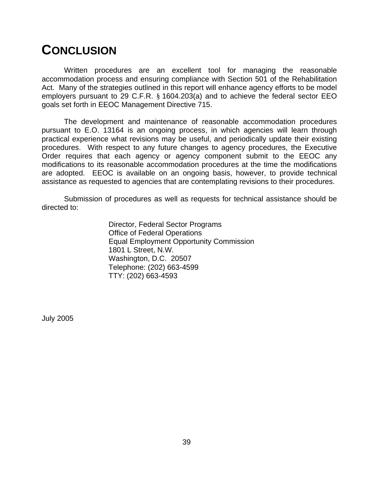## **CONCLUSION**

Written procedures are an excellent tool for managing the reasonable accommodation process and ensuring compliance with Section 501 of the Rehabilitation Act. Many of the strategies outlined in this report will enhance agency efforts to be model employers pursuant to 29 C.F.R. § 1604.203(a) and to achieve the federal sector EEO goals set forth in EEOC Management Directive 715.

The development and maintenance of reasonable accommodation procedures pursuant to E.O. 13164 is an ongoing process, in which agencies will learn through practical experience what revisions may be useful, and periodically update their existing procedures. With respect to any future changes to agency procedures, the Executive Order requires that each agency or agency component submit to the EEOC any modifications to its reasonable accommodation procedures at the time the modifications are adopted. EEOC is available on an ongoing basis, however, to provide technical assistance as requested to agencies that are contemplating revisions to their procedures.

Submission of procedures as well as requests for technical assistance should be directed to:

> Director, Federal Sector Programs Office of Federal Operations Equal Employment Opportunity Commission 1801 L Street, N.W. Washington, D.C. 20507 Telephone: (202) 663-4599 TTY: (202) 663-4593

July 2005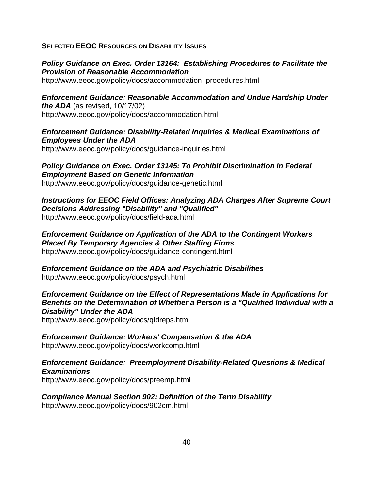#### **SELECTED EEOC RESOURCES ON DISABILITY ISSUES**

#### *Policy Guidance on Exec. Order 13164: Establishing Procedures to Facilitate the Provision of Reasonable Accommodation*

http://www.eeoc.gov/policy/docs/accommodation\_procedures.html

*Enforcement Guidance: Reasonable Accommodation and Undue Hardship Under the ADA* (as revised, 10/17/02) http://www.eeoc.gov/policy/docs/accommodation.html

#### *Enforcement Guidance: Disability-Related Inquiries & Medical Examinations of Employees Under the ADA*

http://www.eeoc.gov/policy/docs/guidance-inquiries.html

*Policy Guidance on Exec. Order 13145: To Prohibit Discrimination in Federal Employment Based on Genetic Information* http://www.eeoc.gov/policy/docs/guidance-genetic.html

*Instructions for EEOC Field Offices: Analyzing ADA Charges After Supreme Court Decisions Addressing "Disability" and "Qualified"* http://www.eeoc.gov/policy/docs/field-ada.html

*Enforcement Guidance on Application of the ADA to the Contingent Workers Placed By Temporary Agencies & Other Staffing Firms* http://www.eeoc.gov/policy/docs/guidance-contingent.html

*Enforcement Guidance on the ADA and Psychiatric Disabilities* http://www.eeoc.gov/policy/docs/psych.html

*Enforcement Guidance on the Effect of Representations Made in Applications for Benefits on the Determination of Whether a Person is a "Qualified Individual with a Disability" Under the ADA*

http://www.eeoc.gov/policy/docs/qidreps.html

*Enforcement Guidance: Workers' Compensation & the ADA*  http://www.eeoc.gov/policy/docs/workcomp.html

*Enforcement Guidance: Preemployment Disability-Related Questions & Medical Examinations* http://www.eeoc.gov/policy/docs/preemp.html

*Compliance Manual Section 902: Definition of the Term Disability* http://www.eeoc.gov/policy/docs/902cm.html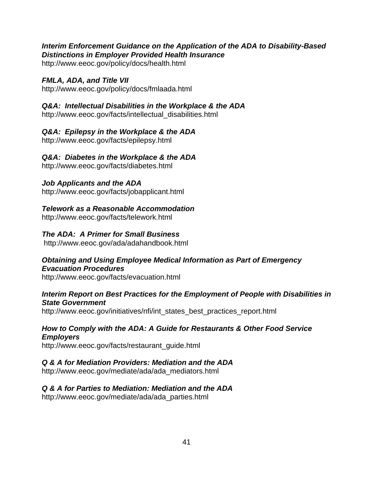#### *Interim Enforcement Guidance on the Application of the ADA to Disability-Based Distinctions in Employer Provided Health Insurance*

http://www.eeoc.gov/policy/docs/health.html

#### *FMLA, ADA, and Title VII*

http://www.eeoc.gov/policy/docs/fmlaada.html

#### *Q&A: Intellectual Disabilities in the Workplace & the ADA*

http://www.eeoc.gov/facts/intellectual\_disabilities.html

#### *Q&A: Epilepsy in the Workplace & the ADA*

http://www.eeoc.gov/facts/epilepsy.html

#### *Q&A: Diabetes in the Workplace & the ADA*

http://www.eeoc.gov/facts/diabetes.html

#### *Job Applicants and the ADA*

http://www.eeoc.gov/facts/jobapplicant.html

#### *Telework as a Reasonable Accommodation*

http://www.eeoc.gov/facts/telework.html

#### *The ADA: A Primer for Small Business*

http://www.eeoc.gov/ada/adahandbook.html

#### *Obtaining and Using Employee Medical Information as Part of Emergency Evacuation Procedures*

http://www.eeoc.gov/facts/evacuation.html

#### *Interim Report on Best Practices for the Employment of People with Disabilities in State Government*

http://www.eeoc.gov/initiatives/nfi/int\_states\_best\_practices\_report.html

#### *How to Comply with the ADA: A Guide for Restaurants & Other Food Service Employers*

http://www.eeoc.gov/facts/restaurant\_guide.html

#### *Q & A for Mediation Providers: Mediation and the ADA*

http://www.eeoc.gov/mediate/ada/ada\_mediators.html

### *Q & A for Parties to Mediation: Mediation and the ADA*

http://www.eeoc.gov/mediate/ada/ada\_parties.html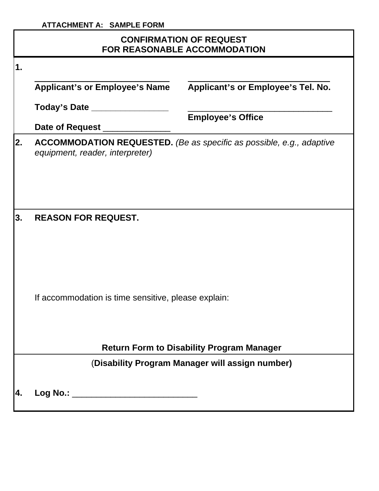#### **ATTACHMENT A: SAMPLE FORM**

### **CONFIRMATION OF REQUEST FOR REASONABLE ACCOMMODATION**

| 1.  |                                                     |                                                                             |  |
|-----|-----------------------------------------------------|-----------------------------------------------------------------------------|--|
|     | <b>Applicant's or Employee's Name</b>               | Applicant's or Employee's Tel. No.                                          |  |
|     | Today's Date _______                                | <b>Employee's Office</b>                                                    |  |
|     | Date of Request ________                            |                                                                             |  |
| 2.  | equipment, reader, interpreter)                     | <b>ACCOMMODATION REQUESTED.</b> (Be as specific as possible, e.g., adaptive |  |
| 3.  | <b>REASON FOR REQUEST.</b>                          |                                                                             |  |
|     | If accommodation is time sensitive, please explain: |                                                                             |  |
|     | <b>Return Form to Disability Program Manager</b>    |                                                                             |  |
|     |                                                     | (Disability Program Manager will assign number)                             |  |
| Ι4. |                                                     |                                                                             |  |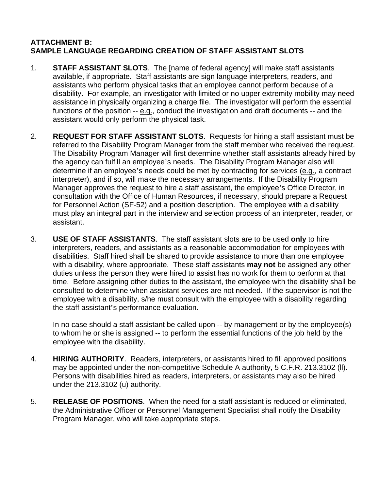#### **ATTACHMENT B: SAMPLE LANGUAGE REGARDING CREATION OF STAFF ASSISTANT SLOTS**

- 1. **STAFF ASSISTANT SLOTS**. The [name of federal agency] will make staff assistants available, if appropriate. Staff assistants are sign language interpreters, readers, and assistants who perform physical tasks that an employee cannot perform because of a disability. For example, an investigator with limited or no upper extremity mobility may need assistance in physically organizing a charge file. The investigator will perform the essential functions of the position -- e.g., conduct the investigation and draft documents -- and the assistant would only perform the physical task.
- 2. **REQUEST FOR STAFF ASSISTANT SLOTS**. Requests for hiring a staff assistant must be referred to the Disability Program Manager from the staff member who received the request. The Disability Program Manager will first determine whether staff assistants already hired by the agency can fulfill an employee's needs. The Disability Program Manager also will determine if an employee's needs could be met by contracting for services (e.g., a contract interpreter), and if so, will make the necessary arrangements. If the Disability Program Manager approves the request to hire a staff assistant, the employee's Office Director, in consultation with the Office of Human Resources, if necessary, should prepare a Request for Personnel Action (SF-52) and a position description. The employee with a disability must play an integral part in the interview and selection process of an interpreter, reader, or assistant.
- 3. **USE OF STAFF ASSISTANTS**. The staff assistant slots are to be used **only** to hire interpreters, readers, and assistants as a reasonable accommodation for employees with disabilities. Staff hired shall be shared to provide assistance to more than one employee with a disability, where appropriate. These staff assistants **may not** be assigned any other duties unless the person they were hired to assist has no work for them to perform at that time. Before assigning other duties to the assistant, the employee with the disability shall be consulted to determine when assistant services are not needed. If the supervisor is not the employee with a disability, s/he must consult with the employee with a disability regarding the staff assistant's performance evaluation.

In no case should a staff assistant be called upon -- by management or by the employee(s) to whom he or she is assigned -- to perform the essential functions of the job held by the employee with the disability.

- 4. **HIRING AUTHORITY**. Readers, interpreters, or assistants hired to fill approved positions may be appointed under the non-competitive Schedule A authority, 5 C.F.R. 213.3102 (ll). Persons with disabilities hired as readers, interpreters, or assistants may also be hired under the 213.3102 (u) authority.
- 5. **RELEASE OF POSITIONS**. When the need for a staff assistant is reduced or eliminated, the Administrative Officer or Personnel Management Specialist shall notify the Disability Program Manager, who will take appropriate steps.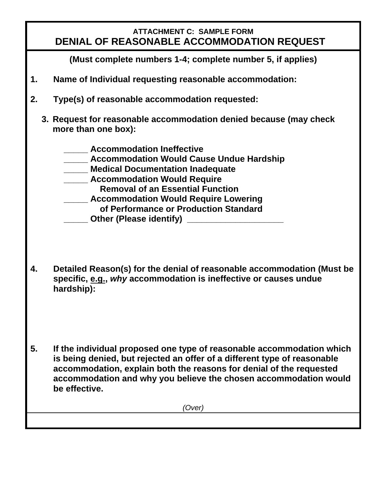### **ATTACHMENT C: SAMPLE FORM DENIAL OF REASONABLE ACCOMMODATION REQUEST**

 **(Must complete numbers 1-4; complete number 5, if applies)** 

- **1. Name of Individual requesting reasonable accommodation:**
- **2. Type(s) of reasonable accommodation requested:** 
	- **3. Request for reasonable accommodation denied because (may check more than one box):** 
		- **\_\_\_\_\_ Accommodation Ineffective**
		- **\_\_\_\_\_ Accommodation Would Cause Undue Hardship**
		- **\_\_\_\_\_ Medical Documentation Inadequate**
		- **Accommodation Would Require** 
			- **Removal of an Essential Function**
			- **\_\_\_\_\_ Accommodation Would Require Lowering** 
				- **of Performance or Production Standard**
			- **Other (Please identify) Discription**
- **4. Detailed Reason(s) for the denial of reasonable accommodation (Must be specific, e.g.,** *why* **accommodation is ineffective or causes undue hardship):**
- **5. If the individual proposed one type of reasonable accommodation which is being denied, but rejected an offer of a different type of reasonable accommodation, explain both the reasons for denial of the requested accommodation and why you believe the chosen accommodation would be effective.**

*(Over)*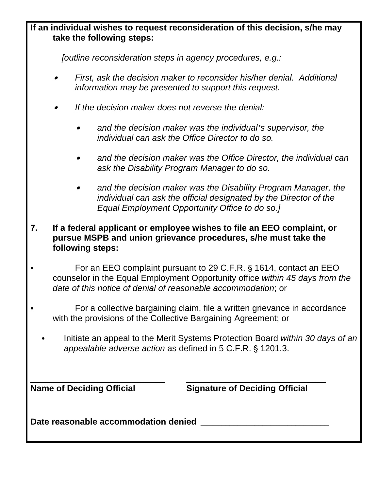# **If an individual wishes to request reconsideration of this decision, s/he may take the following steps:**

 *[outline reconsideration steps in agency procedures, e.g.:*

- \$ *First, ask the decision maker to reconsider his/her denial. Additional information may be presented to support this request.*
- \$ *If the decision maker does not reverse the denial:* 
	- \$ *and the decision maker was the individual's supervisor, the individual can ask the Office Director to do so.*
	- and the decision maker was the Office Director, the individual can *ask the Disability Program Manager to do so.*
	- and the decision maker was the Disability Program Manager, the *individual can ask the official designated by the Director of the Equal Employment Opportunity Office to do so.]*
- **7. If a federal applicant or employee wishes to file an EEO complaint, or pursue MSPB and union grievance procedures, s/he must take the following steps:**

For an EEO complaint pursuant to 29 C.F.R. § 1614, contact an EEO counselor in the Equal Employment Opportunity office *within 45 days from the date of this notice of denial of reasonable accommodation*; or

For a collective bargaining claim, file a written grievance in accordance with the provisions of the Collective Bargaining Agreement; or

Initiate an appeal to the Merit Systems Protection Board *within 30 days of an appealable adverse action* as defined in 5 C.F.R. § 1201.3.

\_\_\_\_\_\_\_\_\_\_\_\_\_\_\_\_\_\_\_\_\_\_\_\_\_\_\_\_ \_\_\_\_\_\_\_\_\_\_\_\_\_\_\_\_\_\_\_\_\_\_\_\_\_\_\_\_\_

**Name of Deciding Official Signature of Deciding Official** 

Date reasonable accommodation denied **Date reasonable**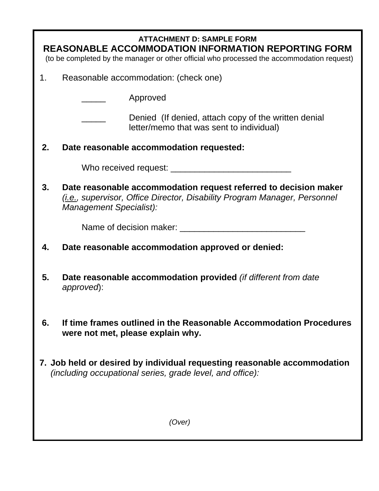| <b>ATTACHMENT D: SAMPLE FORM</b><br>REASONABLE ACCOMMODATION INFORMATION REPORTING FORM<br>(to be completed by the manager or other official who processed the accommodation request) |                                                                                                                                                                                   |  |
|---------------------------------------------------------------------------------------------------------------------------------------------------------------------------------------|-----------------------------------------------------------------------------------------------------------------------------------------------------------------------------------|--|
| 1.                                                                                                                                                                                    | Reasonable accommodation: (check one)                                                                                                                                             |  |
|                                                                                                                                                                                       | Approved                                                                                                                                                                          |  |
|                                                                                                                                                                                       | Denied (If denied, attach copy of the written denial<br>letter/memo that was sent to individual)                                                                                  |  |
| 2.                                                                                                                                                                                    | Date reasonable accommodation requested:                                                                                                                                          |  |
|                                                                                                                                                                                       |                                                                                                                                                                                   |  |
| 3.                                                                                                                                                                                    | Date reasonable accommodation request referred to decision maker<br>( <i>i.e.</i> , supervisor, Office Director, Disability Program Manager, Personnel<br>Management Specialist): |  |
|                                                                                                                                                                                       |                                                                                                                                                                                   |  |
| 4.                                                                                                                                                                                    | Date reasonable accommodation approved or denied:                                                                                                                                 |  |
| 5.                                                                                                                                                                                    | Date reasonable accommodation provided (if different from date<br>approved):                                                                                                      |  |
| 6.                                                                                                                                                                                    | If time frames outlined in the Reasonable Accommodation Procedures<br>were not met, please explain why.                                                                           |  |
| 7. Job held or desired by individual requesting reasonable accommodation<br>(including occupational series, grade level, and office):                                                 |                                                                                                                                                                                   |  |
|                                                                                                                                                                                       | (Over)                                                                                                                                                                            |  |